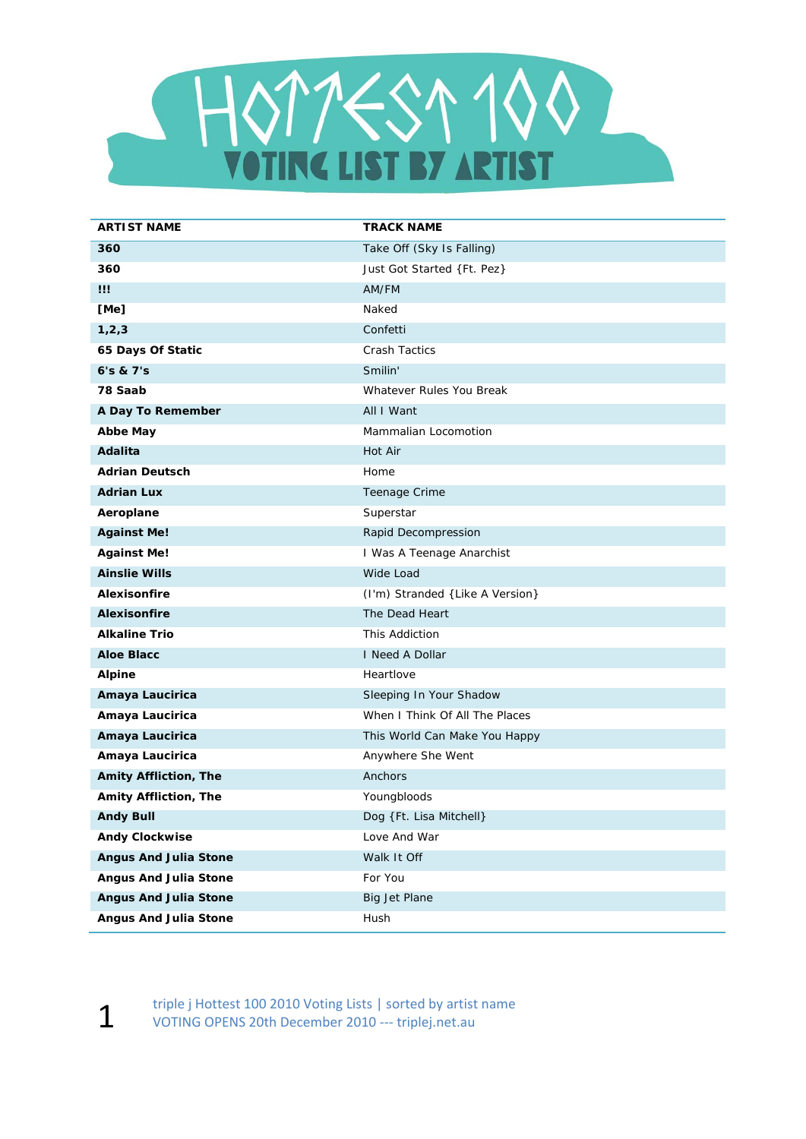

| <b>ARTIST NAME</b>           | <b>TRACK NAME</b>               |
|------------------------------|---------------------------------|
| 360                          | Take Off (Sky Is Falling)       |
| 360                          | Just Got Started {Ft. Pez}      |
| Ш                            | AM/FM                           |
| [Me]                         | Naked                           |
| 1, 2, 3                      | Confetti                        |
| 65 Days Of Static            | <b>Crash Tactics</b>            |
| 6's & 7's                    | Smilin'                         |
| 78 Saab                      | Whatever Rules You Break        |
| A Day To Remember            | All I Want                      |
| <b>Abbe May</b>              | Mammalian Locomotion            |
| Adalita                      | Hot Air                         |
| <b>Adrian Deutsch</b>        | Home                            |
| <b>Adrian Lux</b>            | Teenage Crime                   |
| Aeroplane                    | Superstar                       |
| <b>Against Me!</b>           | Rapid Decompression             |
| <b>Against Me!</b>           | I Was A Teenage Anarchist       |
| <b>Ainslie Wills</b>         | Wide Load                       |
| <b>Alexisonfire</b>          | (I'm) Stranded {Like A Version} |
| <b>Alexisonfire</b>          | The Dead Heart                  |
| <b>Alkaline Trio</b>         | This Addiction                  |
| <b>Aloe Blacc</b>            | I Need A Dollar                 |
| <b>Alpine</b>                | Heartlove                       |
| Amaya Laucirica              | Sleeping In Your Shadow         |
| Amaya Laucirica              | When I Think Of All The Places  |
| Amaya Laucirica              | This World Can Make You Happy   |
| Amaya Laucirica              | Anywhere She Went               |
| <b>Amity Affliction, The</b> | Anchors                         |
| Amity Affliction, The        | Youngbloods                     |
| <b>Andy Bull</b>             | Dog {Ft. Lisa Mitchell}         |
| <b>Andy Clockwise</b>        | Love And War                    |
| <b>Angus And Julia Stone</b> | Walk It Off                     |
| <b>Angus And Julia Stone</b> | For You                         |
| <b>Angus And Julia Stone</b> | Big Jet Plane                   |
| <b>Angus And Julia Stone</b> | Hush                            |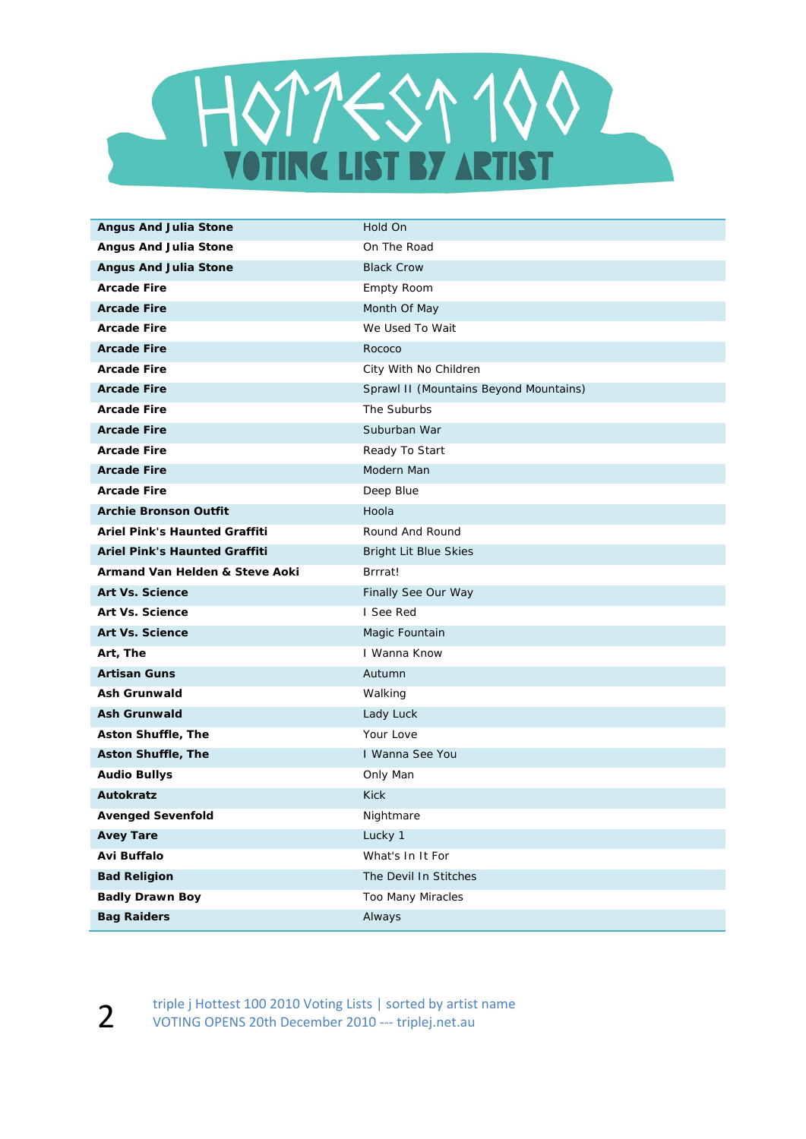

| <b>Angus And Julia Stone</b>         | Hold On                                |
|--------------------------------------|----------------------------------------|
| <b>Angus And Julia Stone</b>         | On The Road                            |
| <b>Angus And Julia Stone</b>         | <b>Black Crow</b>                      |
| <b>Arcade Fire</b>                   | Empty Room                             |
| <b>Arcade Fire</b>                   | Month Of May                           |
| <b>Arcade Fire</b>                   | We Used To Wait                        |
| <b>Arcade Fire</b>                   | Rococo                                 |
| <b>Arcade Fire</b>                   | City With No Children                  |
| <b>Arcade Fire</b>                   | Sprawl II (Mountains Beyond Mountains) |
| <b>Arcade Fire</b>                   | The Suburbs                            |
| <b>Arcade Fire</b>                   | Suburban War                           |
| <b>Arcade Fire</b>                   | Ready To Start                         |
| <b>Arcade Fire</b>                   | Modern Man                             |
| <b>Arcade Fire</b>                   | Deep Blue                              |
| <b>Archie Bronson Outfit</b>         | Hoola                                  |
| Ariel Pink's Haunted Graffiti        | Round And Round                        |
| <b>Ariel Pink's Haunted Graffiti</b> | <b>Bright Lit Blue Skies</b>           |
| Armand Van Helden & Steve Aoki       | Brrrat!                                |
| <b>Art Vs. Science</b>               | Finally See Our Way                    |
| <b>Art Vs. Science</b>               | I See Red                              |
| <b>Art Vs. Science</b>               | Magic Fountain                         |
| Art, The                             | I Wanna Know                           |
| <b>Artisan Guns</b>                  | Autumn                                 |
| <b>Ash Grunwald</b>                  | Walking                                |
| <b>Ash Grunwald</b>                  | Lady Luck                              |
| <b>Aston Shuffle, The</b>            | Your Love                              |
| <b>Aston Shuffle, The</b>            | I Wanna See You                        |
| <b>Audio Bullys</b>                  | Only Man                               |
| <b>Autokratz</b>                     | <b>Kick</b>                            |
| <b>Avenged Sevenfold</b>             | Nightmare                              |
| <b>Avey Tare</b>                     | Lucky 1                                |
| Avi Buffalo                          | What's In It For                       |
| <b>Bad Religion</b>                  | The Devil In Stitches                  |
| <b>Badly Drawn Boy</b>               | Too Many Miracles                      |
| <b>Bag Raiders</b>                   | Always                                 |

2 triple j Hottest 100 2010 Voting Lists | sorted by artist name<br>VOTING OPENS 20th December 2010 --- triplei.net.au VOTING OPENS 20th December 2010 ‐‐‐ triplej.net.au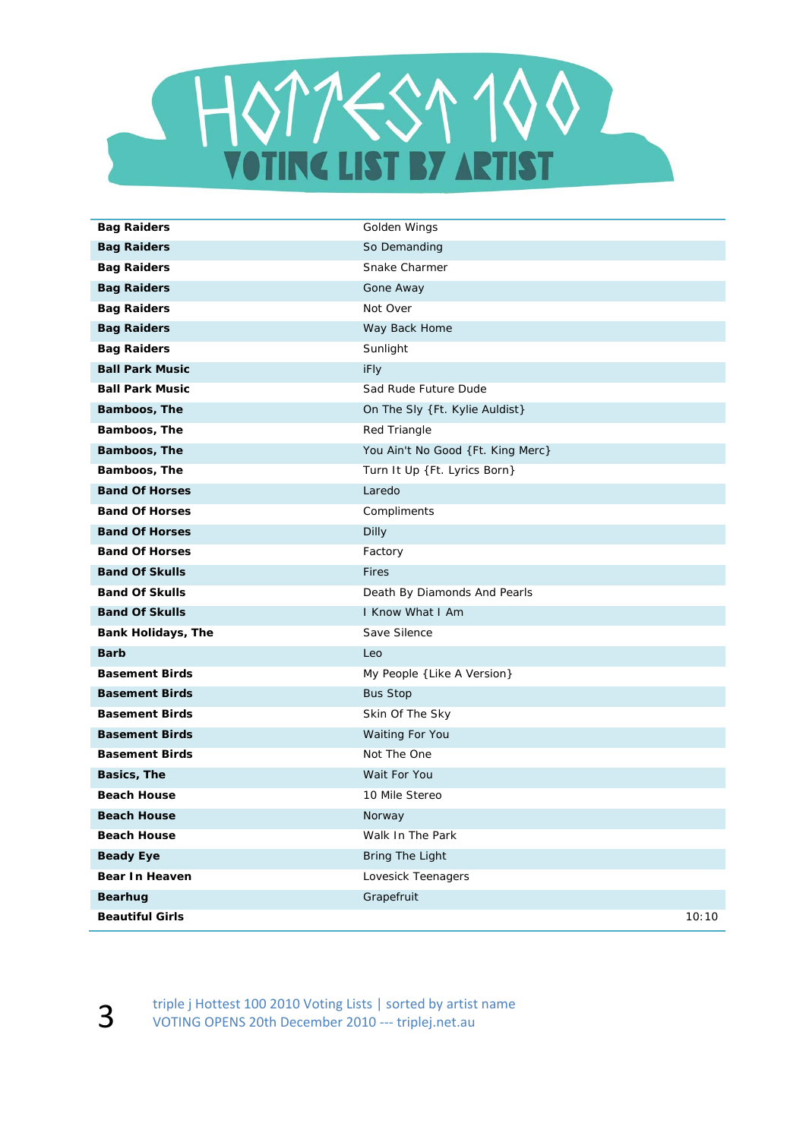

| <b>Bag Raiders</b>        | Golden Wings                      |
|---------------------------|-----------------------------------|
| <b>Bag Raiders</b>        | So Demanding                      |
| <b>Bag Raiders</b>        | Snake Charmer                     |
| <b>Bag Raiders</b>        | Gone Away                         |
| <b>Bag Raiders</b>        | Not Over                          |
| <b>Bag Raiders</b>        | Way Back Home                     |
| <b>Bag Raiders</b>        | Sunlight                          |
| <b>Ball Park Music</b>    | iFly                              |
| <b>Ball Park Music</b>    | Sad Rude Future Dude              |
| Bamboos, The              | On The Sly {Ft. Kylie Auldist}    |
| Bamboos, The              | Red Triangle                      |
| Bamboos, The              | You Ain't No Good {Ft. King Merc} |
| Bamboos, The              | Turn It Up {Ft. Lyrics Born}      |
| <b>Band Of Horses</b>     | Laredo                            |
| <b>Band Of Horses</b>     | Compliments                       |
| <b>Band Of Horses</b>     | Dilly                             |
| <b>Band Of Horses</b>     | Factory                           |
| <b>Band Of Skulls</b>     | <b>Fires</b>                      |
| <b>Band Of Skulls</b>     | Death By Diamonds And Pearls      |
| <b>Band Of Skulls</b>     | I Know What I Am                  |
| <b>Bank Holidays, The</b> | Save Silence                      |
| <b>Barb</b>               | Leo                               |
| <b>Basement Birds</b>     | My People { Like A Version}       |
| <b>Basement Birds</b>     | <b>Bus Stop</b>                   |
| <b>Basement Birds</b>     | Skin Of The Sky                   |
| <b>Basement Birds</b>     | Waiting For You                   |
| <b>Basement Birds</b>     | Not The One                       |
| Basics, The               | Wait For You                      |
| <b>Beach House</b>        | 10 Mile Stereo                    |
| <b>Beach House</b>        | Norway                            |
| <b>Beach House</b>        | Walk In The Park                  |
| <b>Beady Eye</b>          | <b>Bring The Light</b>            |
| Bear In Heaven            | Lovesick Teenagers                |
| Bearhug                   | Grapefruit                        |
| <b>Beautiful Girls</b>    | 10:10                             |

Example j Hottest 100 2010 Voting Lists | sorted by artist name<br>VOTING OPENS 20th December 2010 --- triplej.net.au VOTING OPENS 20th December 2010 ‐‐‐ triplej.net.au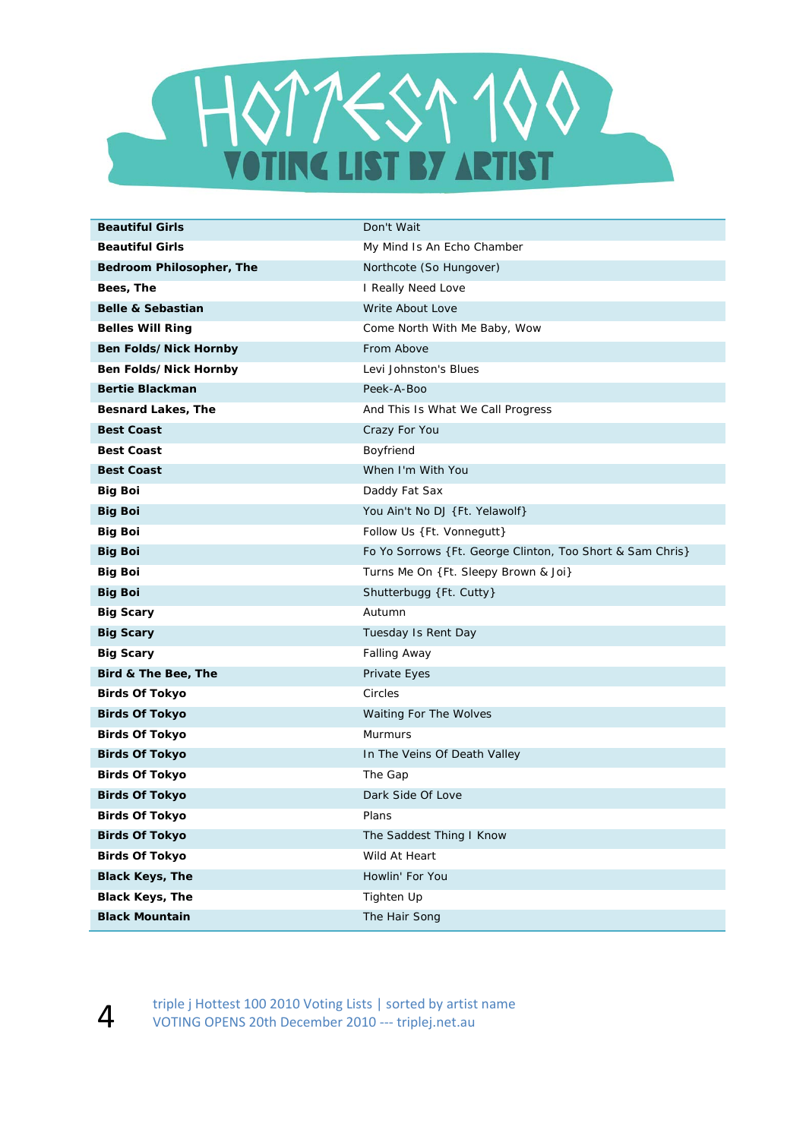

| <b>Beautiful Girls</b>       | Don't Wait                                                 |
|------------------------------|------------------------------------------------------------|
| <b>Beautiful Girls</b>       | My Mind Is An Echo Chamber                                 |
| Bedroom Philosopher, The     | Northcote (So Hungover)                                    |
| Bees, The                    | I Really Need Love                                         |
| <b>Belle &amp; Sebastian</b> | Write About Love                                           |
| <b>Belles Will Ring</b>      | Come North With Me Baby, Wow                               |
| Ben Folds/Nick Hornby        | From Above                                                 |
| Ben Folds/Nick Hornby        | Levi Johnston's Blues                                      |
| <b>Bertie Blackman</b>       | Peek-A-Boo                                                 |
| <b>Besnard Lakes, The</b>    | And This Is What We Call Progress                          |
| <b>Best Coast</b>            | Crazy For You                                              |
| <b>Best Coast</b>            | Boyfriend                                                  |
| <b>Best Coast</b>            | When I'm With You                                          |
| <b>Big Boi</b>               | Daddy Fat Sax                                              |
| <b>Big Boi</b>               | You Ain't No DJ {Ft. Yelawolf}                             |
| <b>Big Boi</b>               | Follow Us {Ft. Vonnegutt}                                  |
| <b>Big Boi</b>               | Fo Yo Sorrows { Ft. George Clinton, Too Short & Sam Chris} |
| <b>Big Boi</b>               | Turns Me On {Ft. Sleepy Brown & Joi}                       |
| <b>Big Boi</b>               | Shutterbugg {Ft. Cutty}                                    |
| <b>Big Scary</b>             | Autumn                                                     |
| <b>Big Scary</b>             | Tuesday Is Rent Day                                        |
| <b>Big Scary</b>             | <b>Falling Away</b>                                        |
| Bird & The Bee, The          | Private Eyes                                               |
| <b>Birds Of Tokyo</b>        | Circles                                                    |
| <b>Birds Of Tokyo</b>        | Waiting For The Wolves                                     |
| <b>Birds Of Tokyo</b>        | Murmurs                                                    |
| <b>Birds Of Tokyo</b>        | In The Veins Of Death Valley                               |
| <b>Birds Of Tokyo</b>        | The Gap                                                    |
| <b>Birds Of Tokyo</b>        | Dark Side Of Love                                          |
| <b>Birds Of Tokyo</b>        | Plans                                                      |
| <b>Birds Of Tokyo</b>        | The Saddest Thing I Know                                   |
| <b>Birds Of Tokyo</b>        | Wild At Heart                                              |
| <b>Black Keys, The</b>       | Howlin' For You                                            |
| <b>Black Keys, The</b>       | Tighten Up                                                 |
| <b>Black Mountain</b>        | The Hair Song                                              |

triple j Hottest 100 2010 Voting Lists | sorted by artist name<br>VOTING OPENS 20th December 2010 --- triplei.net.au VOTING OPENS 20th December 2010 ‐‐‐ triplej.net.au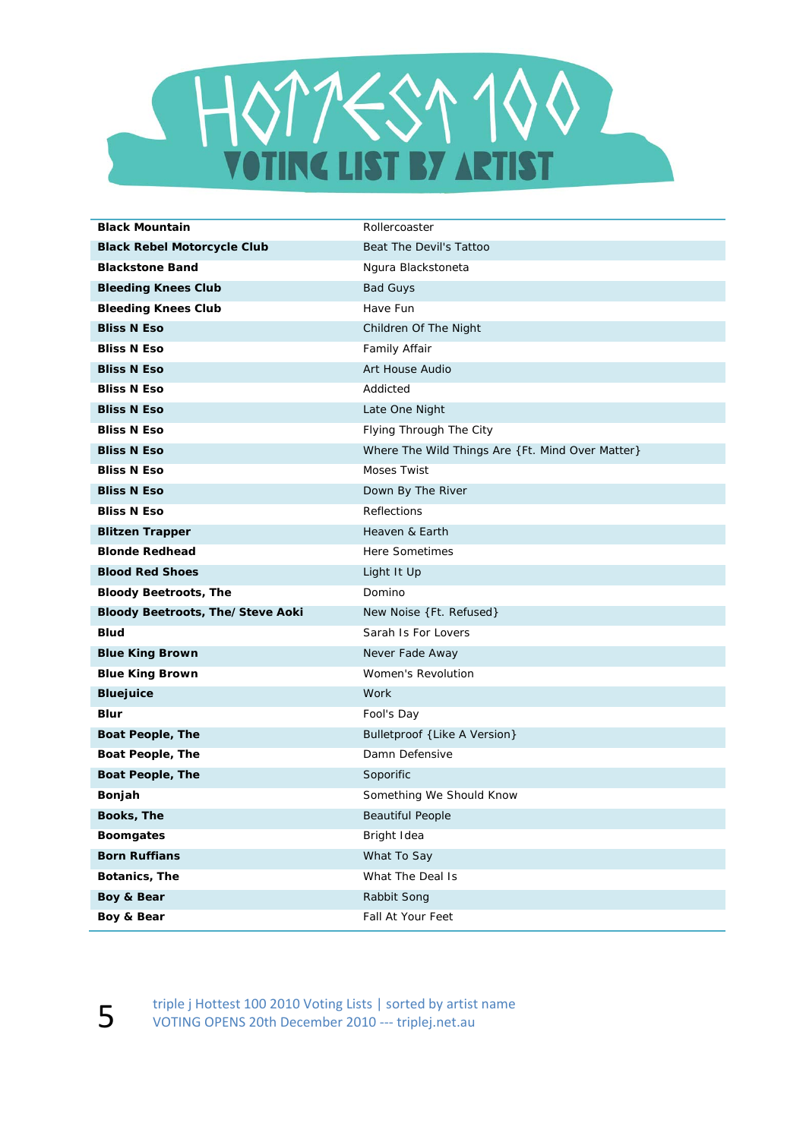

| <b>Black Mountain</b>                   | Rollercoaster                                    |
|-----------------------------------------|--------------------------------------------------|
| <b>Black Rebel Motorcycle Club</b>      | Beat The Devil's Tattoo                          |
| <b>Blackstone Band</b>                  | Ngura Blackstoneta                               |
| <b>Bleeding Knees Club</b>              | <b>Bad Guys</b>                                  |
| <b>Bleeding Knees Club</b>              | Have Fun                                         |
| <b>Bliss N Eso</b>                      | Children Of The Night                            |
| <b>Bliss N Eso</b>                      | Family Affair                                    |
| <b>Bliss N Eso</b>                      | Art House Audio                                  |
| <b>Bliss N Eso</b>                      | Addicted                                         |
| <b>Bliss N Eso</b>                      | Late One Night                                   |
| <b>Bliss N Eso</b>                      | Flying Through The City                          |
| <b>Bliss N Eso</b>                      | Where The Wild Things Are {Ft. Mind Over Matter} |
| <b>Bliss N Eso</b>                      | Moses Twist                                      |
| <b>Bliss N Eso</b>                      | Down By The River                                |
| <b>Bliss N Eso</b>                      | Reflections                                      |
| <b>Blitzen Trapper</b>                  | Heaven & Earth                                   |
| <b>Blonde Redhead</b>                   | <b>Here Sometimes</b>                            |
| <b>Blood Red Shoes</b>                  | Light It Up                                      |
| <b>Bloody Beetroots, The</b>            | Domino                                           |
| <b>Bloody Beetroots, The/Steve Aoki</b> | New Noise {Ft. Refused}                          |
| <b>Blud</b>                             | Sarah Is For Lovers                              |
| <b>Blue King Brown</b>                  | Never Fade Away                                  |
| <b>Blue King Brown</b>                  | Women's Revolution                               |
| <b>Bluejuice</b>                        | Work                                             |
| <b>Blur</b>                             | Fool's Day                                       |
| <b>Boat People, The</b>                 | Bulletproof {Like A Version}                     |
| Boat People, The                        | Damn Defensive                                   |
| <b>Boat People, The</b>                 | Soporific                                        |
| Bonjah                                  | Something We Should Know                         |
| Books, The                              | <b>Beautiful People</b>                          |
| <b>Boomgates</b>                        | Bright Idea                                      |
| <b>Born Ruffians</b>                    | What To Say                                      |
| Botanics, The                           | What The Deal Is                                 |
| Boy & Bear                              | Rabbit Song                                      |
| Boy & Bear                              | Fall At Your Feet                                |

triple j Hottest 100 2010 Voting Lists | sorted by artist name<br>VOTING OPENS 20th December 2010 --- triplej.net.au VOTING OPENS 20th December 2010 ‐‐‐ triplej.net.au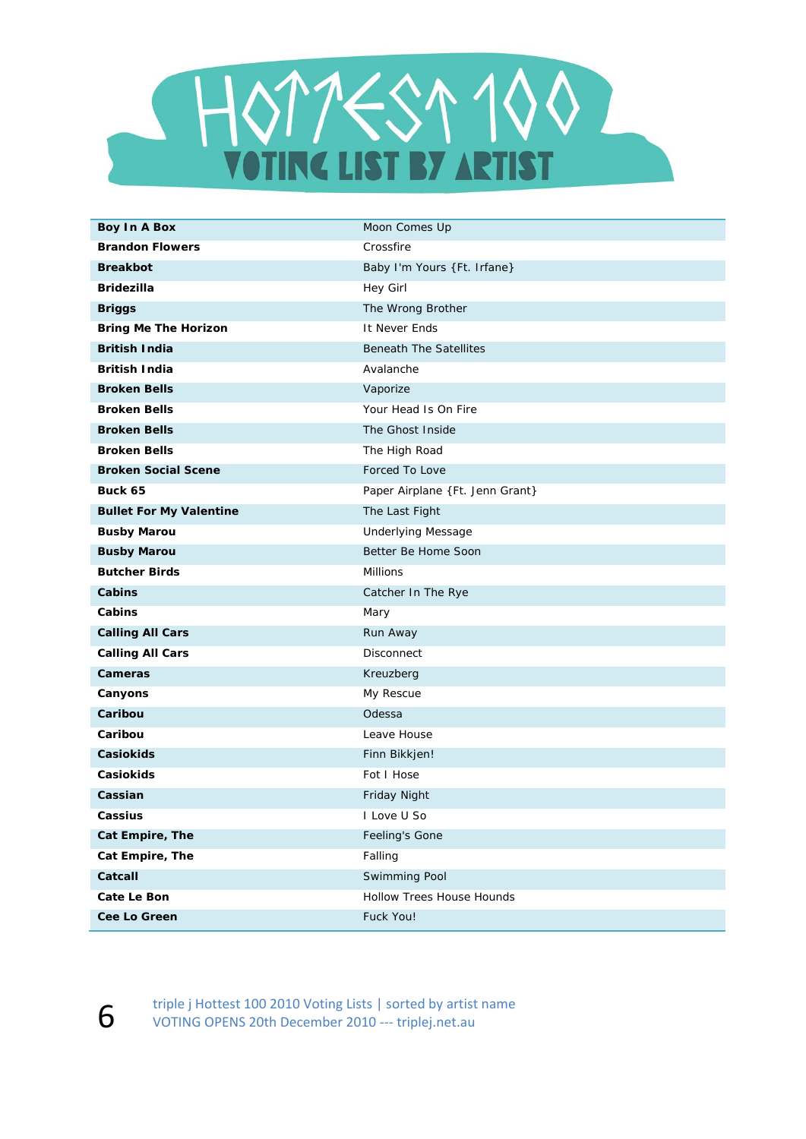

| <b>Boy In A Box</b>            | Moon Comes Up                   |
|--------------------------------|---------------------------------|
| <b>Brandon Flowers</b>         | Crossfire                       |
| <b>Breakbot</b>                | Baby I'm Yours {Ft. Irfane}     |
| <b>Bridezilla</b>              | Hey Girl                        |
| <b>Briggs</b>                  | The Wrong Brother               |
| <b>Bring Me The Horizon</b>    | It Never Ends                   |
| <b>British India</b>           | <b>Beneath The Satellites</b>   |
| <b>British India</b>           | Avalanche                       |
| <b>Broken Bells</b>            | Vaporize                        |
| <b>Broken Bells</b>            | Your Head Is On Fire            |
| <b>Broken Bells</b>            | The Ghost Inside                |
| <b>Broken Bells</b>            | The High Road                   |
| <b>Broken Social Scene</b>     | Forced To Love                  |
| Buck 65                        | Paper Airplane {Ft. Jenn Grant} |
| <b>Bullet For My Valentine</b> | The Last Fight                  |
| <b>Busby Marou</b>             | <b>Underlying Message</b>       |
| <b>Busby Marou</b>             | Better Be Home Soon             |
| <b>Butcher Birds</b>           | <b>Millions</b>                 |
| Cabins                         | Catcher In The Rye              |
| Cabins                         | Mary                            |
| <b>Calling All Cars</b>        | Run Away                        |
| <b>Calling All Cars</b>        | Disconnect                      |
| Cameras                        | Kreuzberg                       |
| Canyons                        | My Rescue                       |
| Caribou                        | Odessa                          |
| Caribou                        | Leave House                     |
| Casiokids                      | Finn Bikkjen!                   |
| Casiokids                      | Fot I Hose                      |
| Cassian                        | Friday Night                    |
| Cassius                        | I Love U So                     |
| Cat Empire, The                | Feeling's Gone                  |
| Cat Empire, The                | Falling                         |
| Catcall                        | Swimming Pool                   |
| Cate Le Bon                    | Hollow Trees House Hounds       |
| Cee Lo Green                   | Fuck You!                       |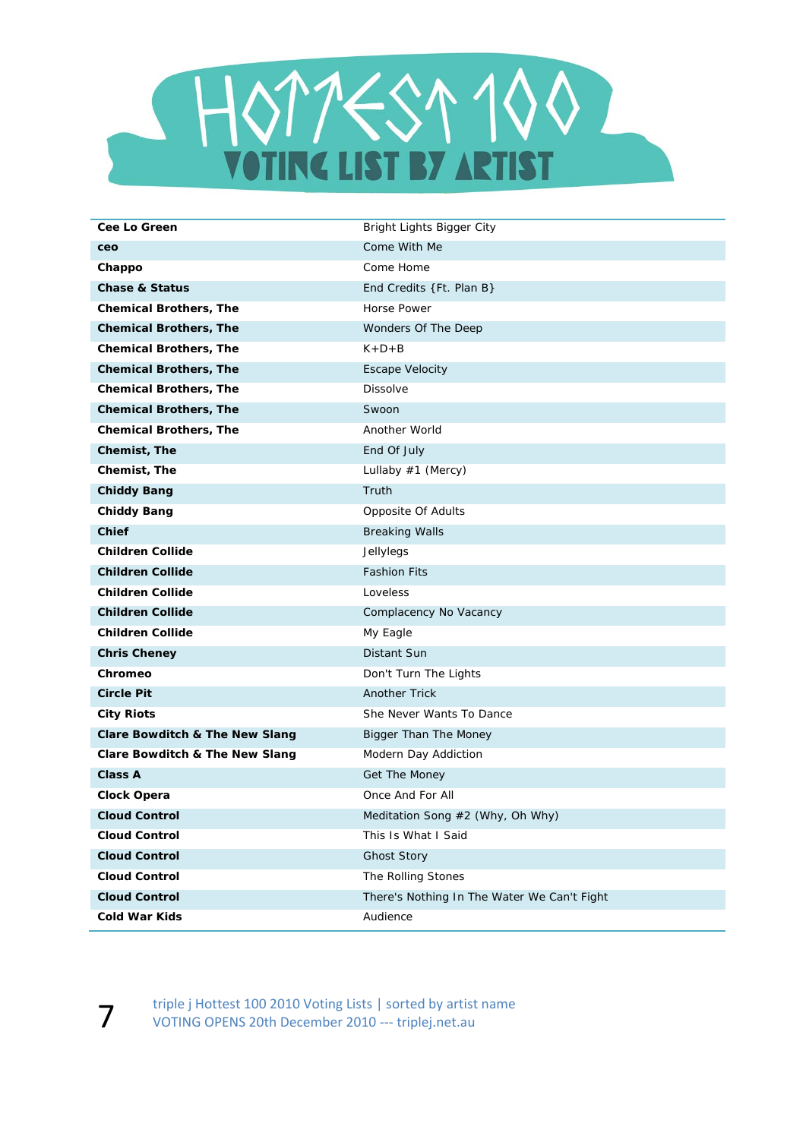

| <b>Cee Lo Green</b>                       | Bright Lights Bigger City                   |
|-------------------------------------------|---------------------------------------------|
| ceo                                       | Come With Me                                |
| Chappo                                    | Come Home                                   |
| <b>Chase &amp; Status</b>                 | End Credits {Ft. Plan B}                    |
| <b>Chemical Brothers, The</b>             | <b>Horse Power</b>                          |
| <b>Chemical Brothers, The</b>             | Wonders Of The Deep                         |
| <b>Chemical Brothers, The</b>             | $K+D+B$                                     |
| <b>Chemical Brothers, The</b>             | <b>Escape Velocity</b>                      |
| <b>Chemical Brothers, The</b>             | Dissolve                                    |
| <b>Chemical Brothers, The</b>             | Swoon                                       |
| <b>Chemical Brothers, The</b>             | Another World                               |
| Chemist, The                              | End Of July                                 |
| Chemist, The                              | Lullaby #1 (Mercy)                          |
| <b>Chiddy Bang</b>                        | Truth                                       |
| <b>Chiddy Bang</b>                        | Opposite Of Adults                          |
| <b>Chief</b>                              | <b>Breaking Walls</b>                       |
| <b>Children Collide</b>                   | Jellylegs                                   |
| <b>Children Collide</b>                   | <b>Fashion Fits</b>                         |
| <b>Children Collide</b>                   | Loveless                                    |
| <b>Children Collide</b>                   | Complacency No Vacancy                      |
| <b>Children Collide</b>                   | My Eagle                                    |
| <b>Chris Cheney</b>                       | Distant Sun                                 |
| Chromeo                                   | Don't Turn The Lights                       |
| <b>Circle Pit</b>                         | <b>Another Trick</b>                        |
| <b>City Riots</b>                         | She Never Wants To Dance                    |
| <b>Clare Bowditch &amp; The New Slang</b> | Bigger Than The Money                       |
| Clare Bowditch & The New Slang            | Modern Day Addiction                        |
| <b>Class A</b>                            | Get The Money                               |
| Clock Opera                               | Once And For All                            |
| <b>Cloud Control</b>                      | Meditation Song #2 (Why, Oh Why)            |
| <b>Cloud Control</b>                      | This Is What I Said                         |
| <b>Cloud Control</b>                      | <b>Ghost Story</b>                          |
| <b>Cloud Control</b>                      | The Rolling Stones                          |
| <b>Cloud Control</b>                      | There's Nothing In The Water We Can't Fight |
| <b>Cold War Kids</b>                      | Audience                                    |

Triple j Hottest 100 2010 Voting Lists | sorted by artist name<br>VOTING OPENS 20th December 2010 --- triplei.net.au VOTING OPENS 20th December 2010 ‐‐‐ triplej.net.au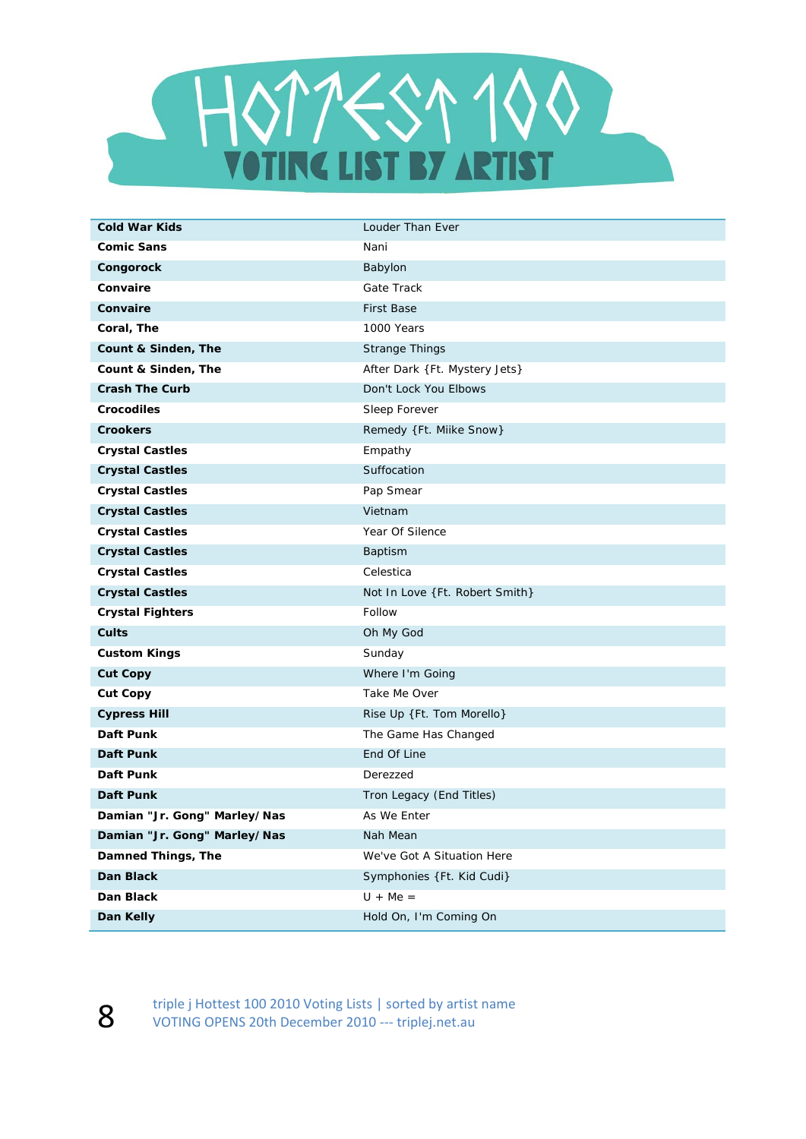

| <b>Cold War Kids</b>         | Louder Than Ever               |
|------------------------------|--------------------------------|
| <b>Comic Sans</b>            | Nani                           |
| Congorock                    | Babylon                        |
| Convaire                     | Gate Track                     |
| Convaire                     | <b>First Base</b>              |
| Coral, The                   | 1000 Years                     |
| Count & Sinden, The          | <b>Strange Things</b>          |
| Count & Sinden, The          | After Dark {Ft. Mystery Jets}  |
| <b>Crash The Curb</b>        | Don't Lock You Elbows          |
| <b>Crocodiles</b>            | Sleep Forever                  |
| <b>Crookers</b>              | Remedy {Ft. Milke Snow}        |
| <b>Crystal Castles</b>       | Empathy                        |
| <b>Crystal Castles</b>       | Suffocation                    |
| <b>Crystal Castles</b>       | Pap Smear                      |
| <b>Crystal Castles</b>       | Vietnam                        |
| <b>Crystal Castles</b>       | Year Of Silence                |
| <b>Crystal Castles</b>       | Baptism                        |
| <b>Crystal Castles</b>       | Celestica                      |
| <b>Crystal Castles</b>       | Not In Love {Ft. Robert Smith} |
| <b>Crystal Fighters</b>      | Follow                         |
| <b>Cults</b>                 | Oh My God                      |
| <b>Custom Kings</b>          | Sunday                         |
| <b>Cut Copy</b>              | Where I'm Going                |
| <b>Cut Copy</b>              | Take Me Over                   |
| <b>Cypress Hill</b>          | Rise Up {Ft. Tom Morello}      |
| Daft Punk                    | The Game Has Changed           |
| Daft Punk                    | End Of Line                    |
| Daft Punk                    | Derezzed                       |
| <b>Daft Punk</b>             | Tron Legacy (End Titles)       |
| Damian "Jr. Gong" Marley/Nas | As We Enter                    |
| Damian "Jr. Gong" Marley/Nas | Nah Mean                       |
| Damned Things, The           | We've Got A Situation Here     |
| Dan Black                    | Symphonies {Ft. Kid Cudi}      |
| Dan Black                    | $U + Me =$                     |
| Dan Kelly                    | Hold On, I'm Coming On         |

triple j Hottest 100 2010 Voting Lists | sorted by artist name<br>VOTING OPENS 20th December 2010 --- triplei.net.au VOTING OPENS 20th December 2010 ‐‐‐ triplej.net.au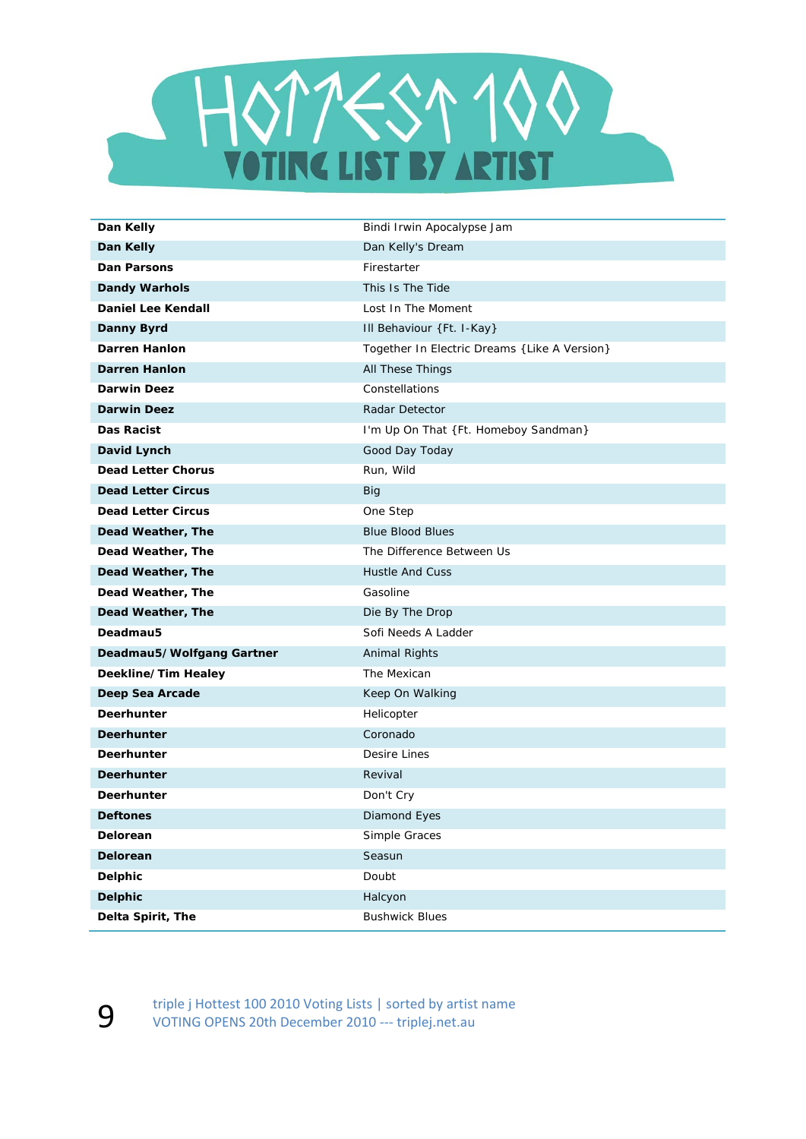

| Dan Kelly                 | Bindi Irwin Apocalypse Jam                    |
|---------------------------|-----------------------------------------------|
| Dan Kelly                 | Dan Kelly's Dream                             |
| <b>Dan Parsons</b>        | Firestarter                                   |
| <b>Dandy Warhols</b>      | This Is The Tide                              |
| <b>Daniel Lee Kendall</b> | Lost In The Moment                            |
| Danny Byrd                | Ill Behaviour {Ft. I-Kay}                     |
| <b>Darren Hanlon</b>      | Together In Electric Dreams { Like A Version} |
| <b>Darren Hanlon</b>      | <b>All These Things</b>                       |
| <b>Darwin Deez</b>        | Constellations                                |
| <b>Darwin Deez</b>        | Radar Detector                                |
| Das Racist                | I'm Up On That {Ft. Homeboy Sandman}          |
| David Lynch               | Good Day Today                                |
| <b>Dead Letter Chorus</b> | Run, Wild                                     |
| <b>Dead Letter Circus</b> | <b>Big</b>                                    |
| <b>Dead Letter Circus</b> | One Step                                      |
| Dead Weather, The         | <b>Blue Blood Blues</b>                       |
| Dead Weather, The         | The Difference Between Us                     |
| Dead Weather, The         | <b>Hustle And Cuss</b>                        |
| Dead Weather, The         | Gasoline                                      |
| Dead Weather, The         | Die By The Drop                               |
| Deadmau5                  | Sofi Needs A Ladder                           |
| Deadmau5/Wolfgang Gartner | Animal Rights                                 |
| Deekline/Tim Healey       | The Mexican                                   |
| Deep Sea Arcade           | Keep On Walking                               |
| Deerhunter                | Helicopter                                    |
| <b>Deerhunter</b>         | Coronado                                      |
| Deerhunter                | Desire Lines                                  |
| <b>Deerhunter</b>         | Revival                                       |
| Deerhunter                | Don't Cry                                     |
| <b>Deftones</b>           | Diamond Eyes                                  |
| Delorean                  | Simple Graces                                 |
| Delorean                  | Seasun                                        |
| <b>Delphic</b>            | Doubt                                         |
| <b>Delphic</b>            | Halcyon                                       |
| Delta Spirit, The         | <b>Bushwick Blues</b>                         |

Supering triple j Hottest 100 2010 Voting Lists | sorted by artist name<br>VOTING OPENS 20th December 2010 --- triplej.net.au VOTING OPENS 20th December 2010 ‐‐‐ triplej.net.au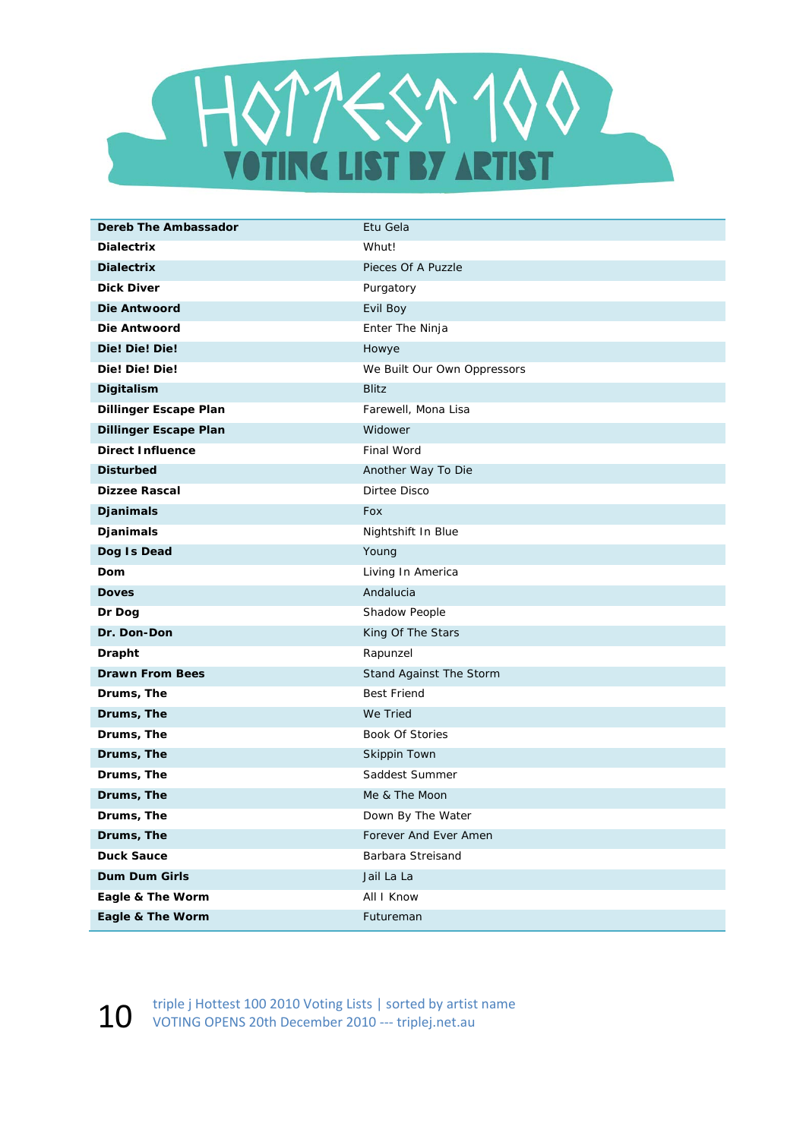

| <b>Dereb The Ambassador</b>  | Etu Gela                    |
|------------------------------|-----------------------------|
| <b>Dialectrix</b>            | Whut!                       |
| <b>Dialectrix</b>            | Pieces Of A Puzzle          |
| Dick Diver                   | Purgatory                   |
| Die Antwoord                 | Evil Boy                    |
| Die Antwoord                 | Enter The Ninja             |
| Die! Die! Die!               | Howye                       |
| Die! Die! Die!               | We Built Our Own Oppressors |
| Digitalism                   | <b>Blitz</b>                |
| <b>Dillinger Escape Plan</b> | Farewell, Mona Lisa         |
| <b>Dillinger Escape Plan</b> | Widower                     |
| <b>Direct Influence</b>      | Final Word                  |
| <b>Disturbed</b>             | Another Way To Die          |
| <b>Dizzee Rascal</b>         | Dirtee Disco                |
| Djanimals                    | Fox                         |
| Djanimals                    | Nightshift In Blue          |
| Dog Is Dead                  | Young                       |
| Dom                          | Living In America           |
| <b>Doves</b>                 | Andalucia                   |
| Dr Dog                       | Shadow People               |
| Dr. Don-Don                  | King Of The Stars           |
| <b>Drapht</b>                | Rapunzel                    |
| <b>Drawn From Bees</b>       | Stand Against The Storm     |
| Drums, The                   | <b>Best Friend</b>          |
| Drums, The                   | We Tried                    |
| Drums, The                   | <b>Book Of Stories</b>      |
| Drums, The                   | Skippin Town                |
| Drums, The                   | Saddest Summer              |
| Drums, The                   | Me & The Moon               |
| Drums, The                   | Down By The Water           |
| Drums, The                   | Forever And Ever Amen       |
| <b>Duck Sauce</b>            | Barbara Streisand           |
| Dum Dum Girls                | Jail La La                  |
| Eagle & The Worm             | All I Know                  |
| Eagle & The Worm             | Futureman                   |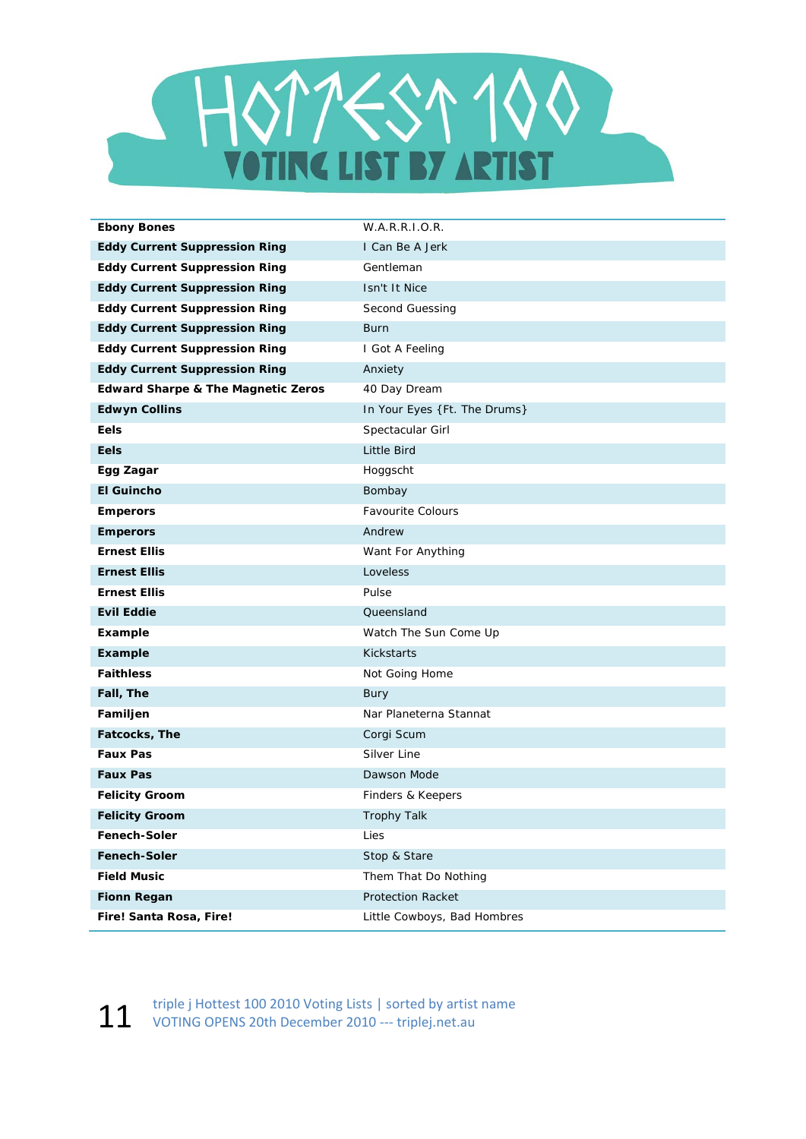

| <b>Ebony Bones</b>                            | W.A.R.R.I.O.R.               |
|-----------------------------------------------|------------------------------|
| <b>Eddy Current Suppression Ring</b>          | I Can Be A Jerk              |
| <b>Eddy Current Suppression Ring</b>          | Gentleman                    |
| <b>Eddy Current Suppression Ring</b>          | Isn't It Nice                |
| <b>Eddy Current Suppression Ring</b>          | Second Guessing              |
| <b>Eddy Current Suppression Ring</b>          | <b>Burn</b>                  |
| <b>Eddy Current Suppression Ring</b>          | I Got A Feeling              |
| <b>Eddy Current Suppression Ring</b>          | Anxiety                      |
| <b>Edward Sharpe &amp; The Magnetic Zeros</b> | 40 Day Dream                 |
| <b>Edwyn Collins</b>                          | In Your Eyes {Ft. The Drums} |
| Eels                                          | Spectacular Girl             |
| Eels                                          | Little Bird                  |
| Egg Zagar                                     | Hoggscht                     |
| <b>El Guincho</b>                             | Bombay                       |
| <b>Emperors</b>                               | <b>Favourite Colours</b>     |
| <b>Emperors</b>                               | Andrew                       |
| <b>Ernest Ellis</b>                           | Want For Anything            |
| <b>Ernest Ellis</b>                           | Loveless                     |
| <b>Ernest Ellis</b>                           | Pulse                        |
| <b>Evil Eddie</b>                             | Queensland                   |
| Example                                       | Watch The Sun Come Up        |
| Example                                       | <b>Kickstarts</b>            |
| <b>Faithless</b>                              | Not Going Home               |
| Fall, The                                     | Bury                         |
| Familjen                                      | Nar Planeterna Stannat       |
| Fatcocks, The                                 | Corgi Scum                   |
| <b>Faux Pas</b>                               | Silver Line                  |
| <b>Faux Pas</b>                               | Dawson Mode                  |
| <b>Felicity Groom</b>                         | Finders & Keepers            |
| <b>Felicity Groom</b>                         | <b>Trophy Talk</b>           |
| Fenech-Soler                                  | Lies                         |
| <b>Fenech-Soler</b>                           | Stop & Stare                 |
| <b>Field Music</b>                            | Them That Do Nothing         |
| <b>Fionn Regan</b>                            | <b>Protection Racket</b>     |
| Fire! Santa Rosa, Fire!                       | Little Cowboys, Bad Hombres  |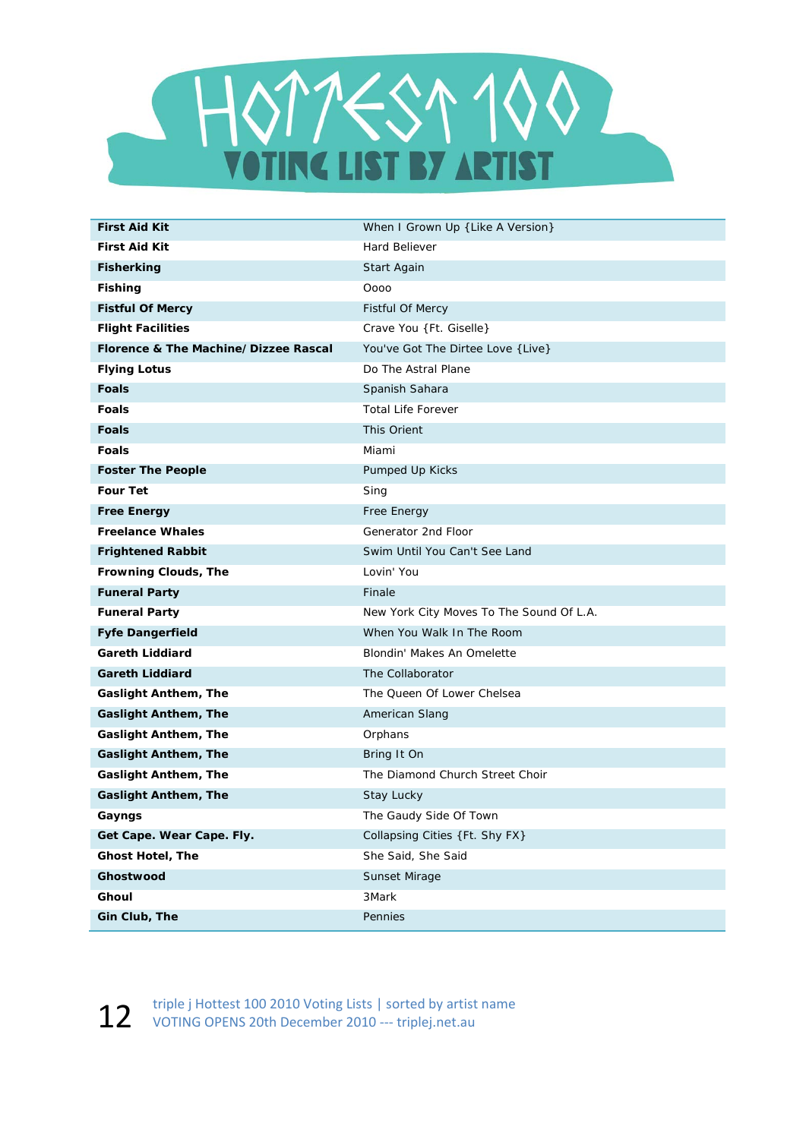

| <b>First Aid Kit</b>                 | When I Grown Up { Like A Version}        |
|--------------------------------------|------------------------------------------|
| <b>First Aid Kit</b>                 | Hard Believer                            |
| <b>Fisherking</b>                    | Start Again                              |
| <b>Fishing</b>                       | Oooo                                     |
| <b>Fistful Of Mercy</b>              | <b>Fistful Of Mercy</b>                  |
| <b>Flight Facilities</b>             | Crave You {Ft. Giselle}                  |
| Florence & The Machine/Dizzee Rascal | You've Got The Dirtee Love { Live}       |
| <b>Flying Lotus</b>                  | Do The Astral Plane                      |
| <b>Foals</b>                         | Spanish Sahara                           |
| <b>Foals</b>                         | <b>Total Life Forever</b>                |
| <b>Foals</b>                         | This Orient                              |
| <b>Foals</b>                         | Miami                                    |
| <b>Foster The People</b>             | Pumped Up Kicks                          |
| <b>Four Tet</b>                      | Sing                                     |
| <b>Free Energy</b>                   | Free Energy                              |
| <b>Freelance Whales</b>              | Generator 2nd Floor                      |
| <b>Frightened Rabbit</b>             | Swim Until You Can't See Land            |
| Frowning Clouds, The                 | Lovin' You                               |
| <b>Funeral Party</b>                 | Finale                                   |
| <b>Funeral Party</b>                 | New York City Moves To The Sound Of L.A. |
| <b>Fyfe Dangerfield</b>              | When You Walk In The Room                |
| <b>Gareth Liddiard</b>               | Blondin' Makes An Omelette               |
| <b>Gareth Liddiard</b>               | The Collaborator                         |
| <b>Gaslight Anthem, The</b>          | The Queen Of Lower Chelsea               |
| <b>Gaslight Anthem, The</b>          | American Slang                           |
| <b>Gaslight Anthem, The</b>          | Orphans                                  |
| <b>Gaslight Anthem, The</b>          | Bring It On                              |
| <b>Gaslight Anthem, The</b>          | The Diamond Church Street Choir          |
| <b>Gaslight Anthem, The</b>          | Stay Lucky                               |
| Gayngs                               | The Gaudy Side Of Town                   |
| Get Cape. Wear Cape. Fly.            | Collapsing Cities {Ft. Shy FX}           |
| <b>Ghost Hotel, The</b>              | She Said, She Said                       |
| Ghostwood                            | Sunset Mirage                            |
| Ghoul                                | 3Mark                                    |
| Gin Club, The                        | Pennies                                  |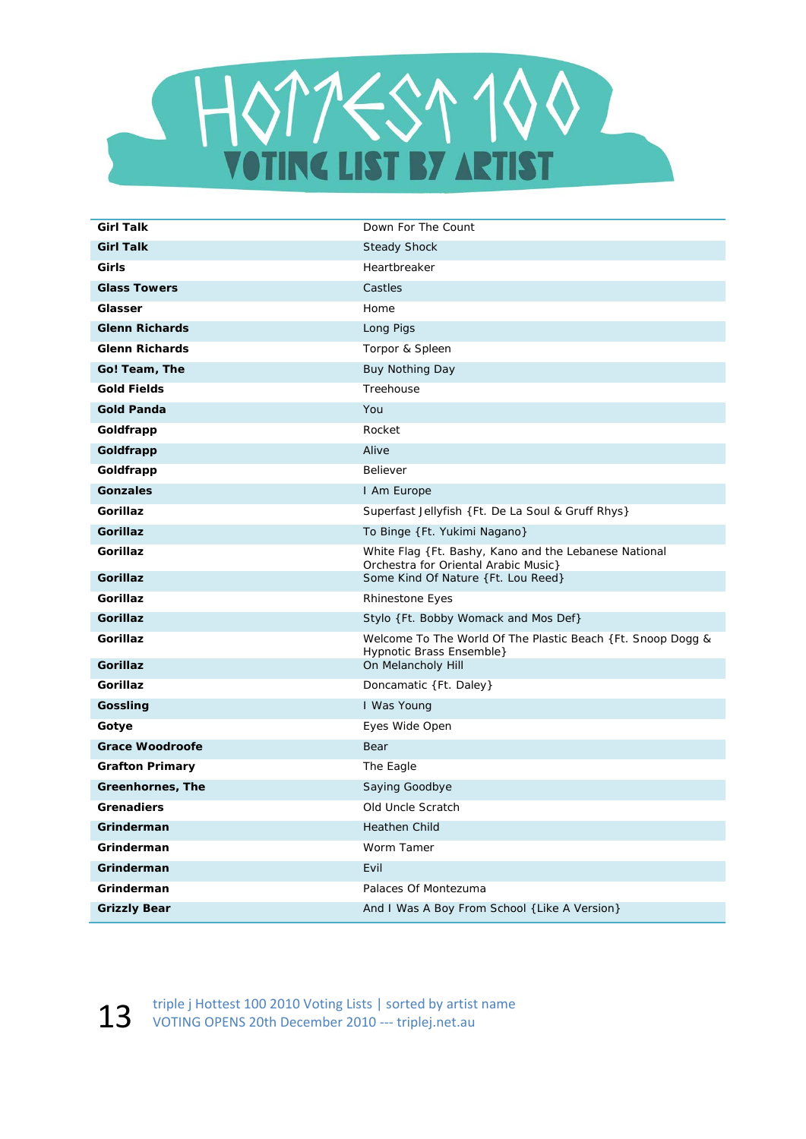

| <b>Girl Talk</b>       | Down For The Count                                                                            |
|------------------------|-----------------------------------------------------------------------------------------------|
| <b>Girl Talk</b>       | <b>Steady Shock</b>                                                                           |
| Girls                  | Heartbreaker                                                                                  |
| <b>Glass Towers</b>    | Castles                                                                                       |
| Glasser                | Home                                                                                          |
| <b>Glenn Richards</b>  | Long Pigs                                                                                     |
| <b>Glenn Richards</b>  | Torpor & Spleen                                                                               |
| Go! Team, The          | Buy Nothing Day                                                                               |
| <b>Gold Fields</b>     | Treehouse                                                                                     |
| <b>Gold Panda</b>      | You                                                                                           |
| Goldfrapp              | Rocket                                                                                        |
| Goldfrapp              | Alive                                                                                         |
| Goldfrapp              | Believer                                                                                      |
| <b>Gonzales</b>        | I Am Europe                                                                                   |
| Gorillaz               | Superfast Jellyfish {Ft. De La Soul & Gruff Rhys}                                             |
| <b>Gorillaz</b>        | To Binge {Ft. Yukimi Nagano}                                                                  |
| Gorillaz               | White Flag {Ft. Bashy, Kano and the Lebanese National<br>Orchestra for Oriental Arabic Music} |
| <b>Gorillaz</b>        | Some Kind Of Nature {Ft. Lou Reed}                                                            |
| Gorillaz               | Rhinestone Eyes                                                                               |
| Gorillaz               | Stylo {Ft. Bobby Womack and Mos Def}                                                          |
| <b>Gorillaz</b>        | Welcome To The World Of The Plastic Beach {Ft. Snoop Dogg &<br>Hypnotic Brass Ensemble}       |
| <b>Gorillaz</b>        | On Melancholy Hill                                                                            |
| Gorillaz               | Doncamatic {Ft. Daley}                                                                        |
| Gossling               | I Was Young                                                                                   |
| Gotye                  | Eyes Wide Open                                                                                |
| <b>Grace Woodroofe</b> | Bear                                                                                          |
| <b>Grafton Primary</b> | The Eagle                                                                                     |
| Greenhornes, The       | Saying Goodbye                                                                                |
| <b>Grenadiers</b>      | Old Uncle Scratch                                                                             |
| Grinderman             | <b>Heathen Child</b>                                                                          |
| Grinderman             | Worm Tamer                                                                                    |
| Grinderman             | Evil                                                                                          |
| Grinderman             | Palaces Of Montezuma                                                                          |
| <b>Grizzly Bear</b>    | And I Was A Boy From School { Like A Version}                                                 |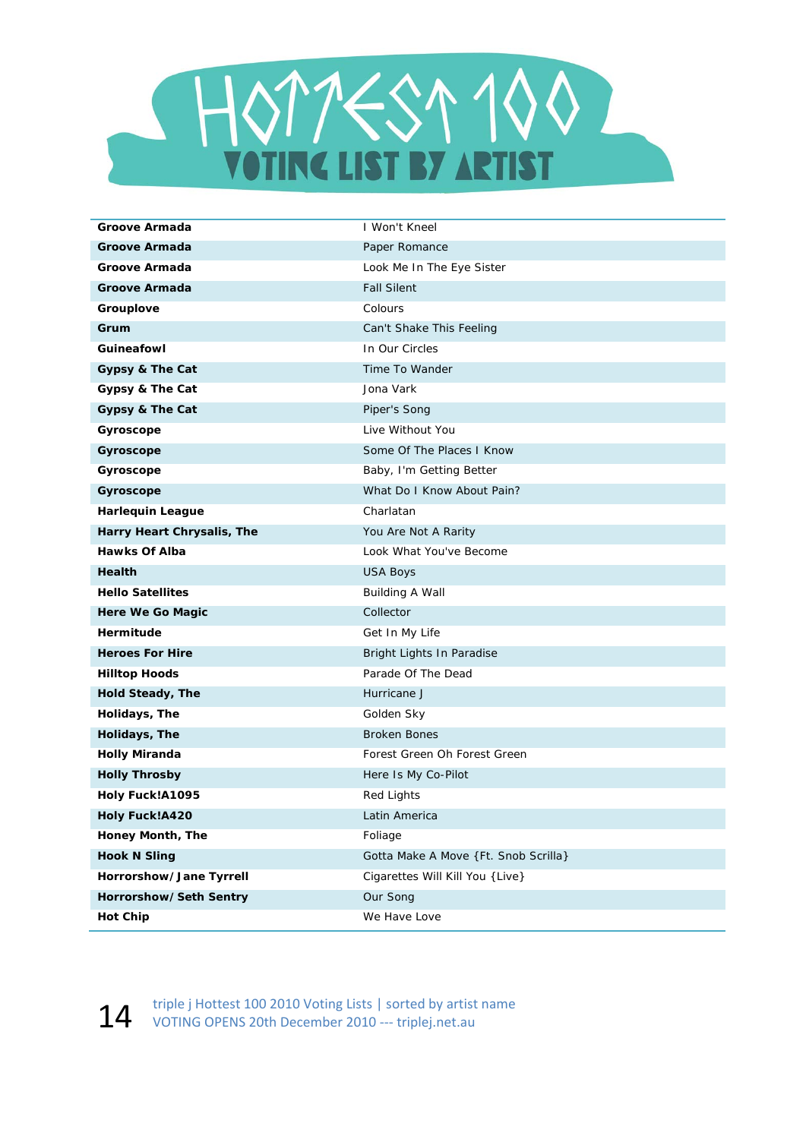

| Groove Armada              | I Won't Kneel                        |
|----------------------------|--------------------------------------|
| <b>Groove Armada</b>       | Paper Romance                        |
| Groove Armada              | Look Me In The Eye Sister            |
| <b>Groove Armada</b>       | <b>Fall Silent</b>                   |
| Grouplove                  | Colours                              |
| Grum                       | Can't Shake This Feeling             |
| Guineafowl                 | In Our Circles                       |
| Gypsy & The Cat            | Time To Wander                       |
| Gypsy & The Cat            | Jona Vark                            |
| Gypsy & The Cat            | Piper's Song                         |
| Gyroscope                  | Live Without You                     |
| Gyroscope                  | Some Of The Places I Know            |
| Gyroscope                  | Baby, I'm Getting Better             |
| Gyroscope                  | What Do I Know About Pain?           |
| <b>Harlequin League</b>    | Charlatan                            |
| Harry Heart Chrysalis, The | You Are Not A Rarity                 |
| <b>Hawks Of Alba</b>       | Look What You've Become              |
| Health                     | <b>USA Boys</b>                      |
| <b>Hello Satellites</b>    | <b>Building A Wall</b>               |
| Here We Go Magic           | Collector                            |
| Hermitude                  | Get In My Life                       |
| <b>Heroes For Hire</b>     | Bright Lights In Paradise            |
| <b>Hilltop Hoods</b>       | Parade Of The Dead                   |
| Hold Steady, The           | Hurricane J                          |
| Holidays, The              | Golden Sky                           |
| Holidays, The              | <b>Broken Bones</b>                  |
| <b>Holly Miranda</b>       | Forest Green Oh Forest Green         |
| <b>Holly Throsby</b>       | Here Is My Co-Pilot                  |
| Holy Fuck!A1095            | Red Lights                           |
| <b>Holy Fuck!A420</b>      | Latin America                        |
| Honey Month, The           | Foliage                              |
| <b>Hook N Sling</b>        | Gotta Make A Move {Ft. Snob Scrilla} |
| Horrorshow/Jane Tyrrell    | Cigarettes Will Kill You { Live}     |
| Horrorshow/Seth Sentry     | Our Song                             |
| <b>Hot Chip</b>            | We Have Love                         |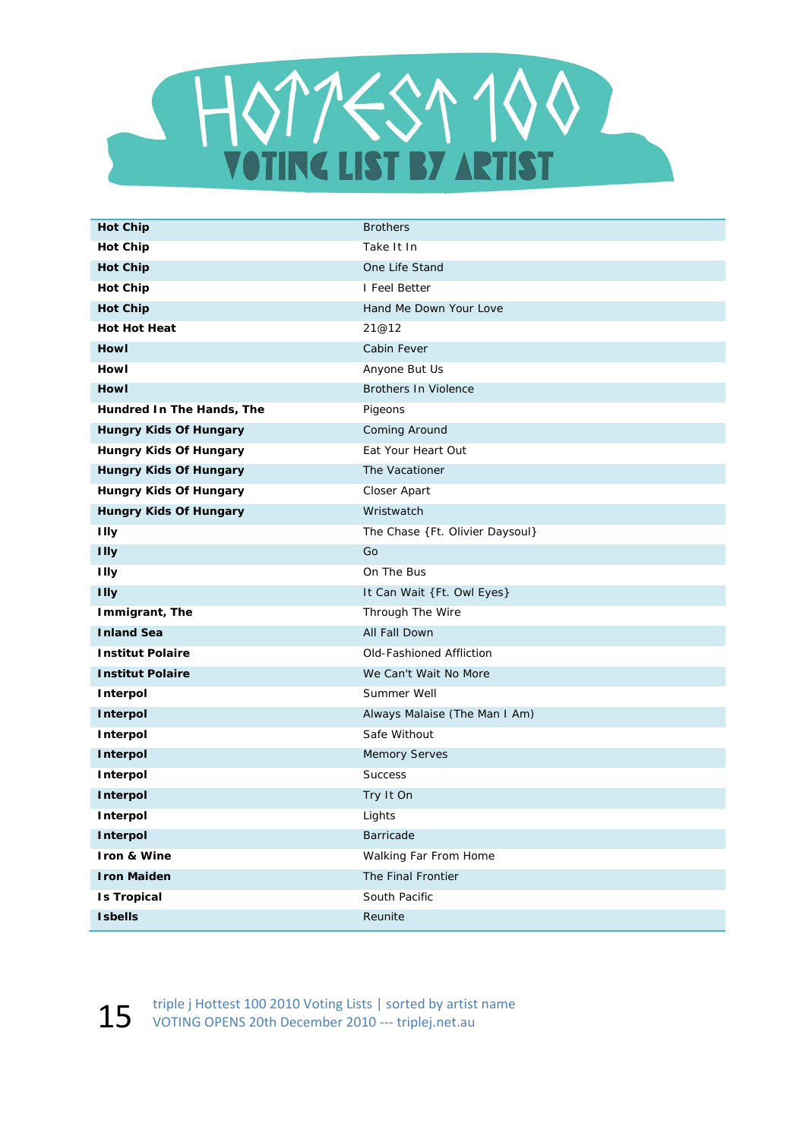

| <b>Hot Chip</b>               | <b>Brothers</b>                 |
|-------------------------------|---------------------------------|
| <b>Hot Chip</b>               | Take It In                      |
| <b>Hot Chip</b>               | One Life Stand                  |
| <b>Hot Chip</b>               | I Feel Better                   |
| <b>Hot Chip</b>               | Hand Me Down Your Love          |
| <b>Hot Hot Heat</b>           | 21@12                           |
| Howl                          | Cabin Fever                     |
| Howl                          | Anyone But Us                   |
| <b>Howl</b>                   | <b>Brothers In Violence</b>     |
| Hundred In The Hands, The     | Pigeons                         |
| <b>Hungry Kids Of Hungary</b> | Coming Around                   |
| Hungry Kids Of Hungary        | Eat Your Heart Out              |
| Hungry Kids Of Hungary        | The Vacationer                  |
| <b>Hungry Kids Of Hungary</b> | Closer Apart                    |
| <b>Hungry Kids Of Hungary</b> | Wristwatch                      |
| <b>Illy</b>                   | The Chase {Ft. Olivier Daysoul} |
| <b>Illy</b>                   | Go                              |
| <b>Illy</b>                   | On The Bus                      |
| <b>Illy</b>                   | It Can Wait {Ft. Owl Eyes}      |
| Immigrant, The                | Through The Wire                |
| <b>Inland Sea</b>             | All Fall Down                   |
| <b>Institut Polaire</b>       | Old-Fashioned Affliction        |
| <b>Institut Polaire</b>       | We Can't Wait No More           |
| Interpol                      | Summer Well                     |
| Interpol                      | Always Malaise (The Man I Am)   |
| Interpol                      | Safe Without                    |
| Interpol                      | <b>Memory Serves</b>            |
| Interpol                      | Success                         |
| Interpol                      | Try It On                       |
| Interpol                      | Lights                          |
| Interpol                      | Barricade                       |
| Iron & Wine                   | Walking Far From Home           |
| <b>Iron Maiden</b>            | The Final Frontier              |
| <b>Is Tropical</b>            | South Pacific                   |
| <b>Isbells</b>                | Reunite                         |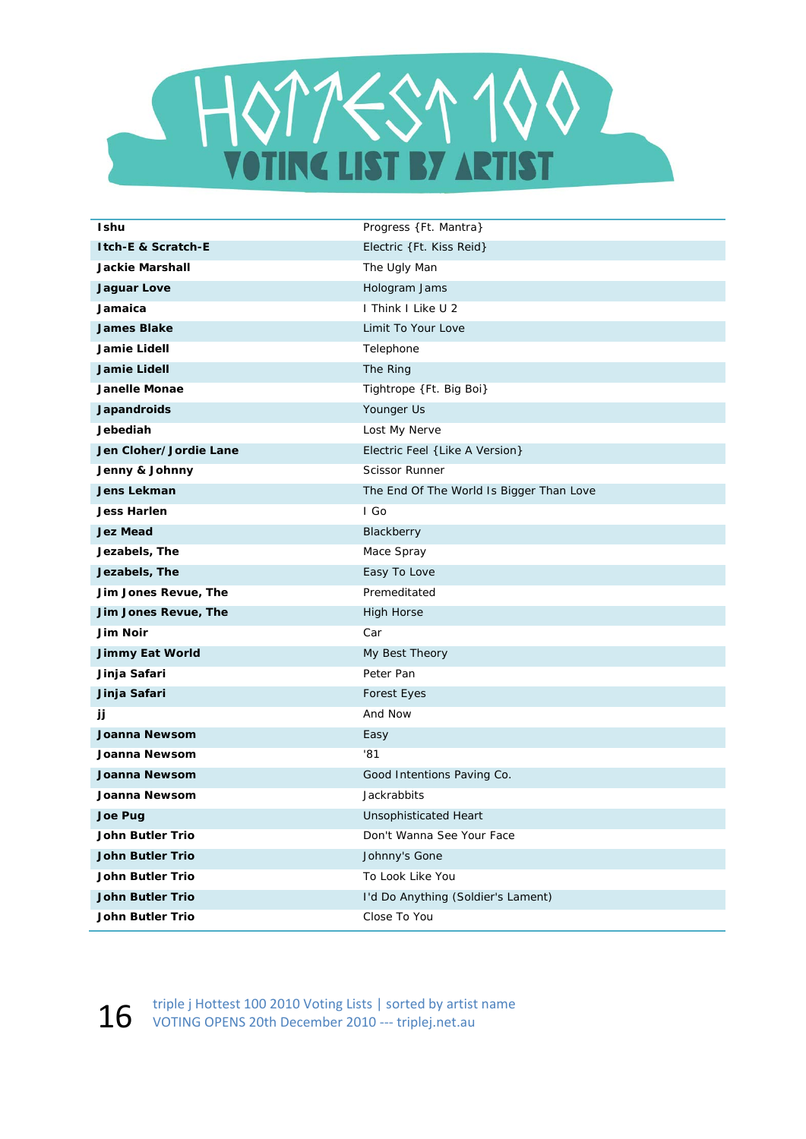

| <b>Ishu</b>             | Progress {Ft. Mantra}                    |
|-------------------------|------------------------------------------|
| Itch-E & Scratch-E      | Electric {Ft. Kiss Reid}                 |
| <b>Jackie Marshall</b>  | The Ugly Man                             |
| <b>Jaguar Love</b>      | Hologram Jams                            |
| Jamaica                 | I Think I Like U 2                       |
| <b>James Blake</b>      | Limit To Your Love                       |
| Jamie Lidell            | Telephone                                |
| Jamie Lidell            | The Ring                                 |
| <b>Janelle Monae</b>    | Tightrope {Ft. Big Boi}                  |
| Japandroids             | Younger Us                               |
| Jebediah                | Lost My Nerve                            |
| Jen Cloher/Jordie Lane  | Electric Feel { Like A Version}          |
| Jenny & Johnny          | <b>Scissor Runner</b>                    |
| Jens Lekman             | The End Of The World Is Bigger Than Love |
| <b>Jess Harlen</b>      | I Go                                     |
| <b>Jez Mead</b>         | Blackberry                               |
| Jezabels, The           | Mace Spray                               |
| Jezabels, The           | Easy To Love                             |
| Jim Jones Revue, The    | Premeditated                             |
| Jim Jones Revue, The    | <b>High Horse</b>                        |
| <b>Jim Noir</b>         | Car                                      |
| <b>Jimmy Eat World</b>  | My Best Theory                           |
| Jinja Safari            | Peter Pan                                |
| Jinja Safari            | <b>Forest Eyes</b>                       |
| jj                      | And Now                                  |
| Joanna Newsom           | Easy                                     |
| Joanna Newsom           | '81                                      |
| <b>Joanna Newsom</b>    | Good Intentions Paving Co.               |
| Joanna Newsom           | Jackrabbits                              |
| Joe Pug                 | <b>Unsophisticated Heart</b>             |
| <b>John Butler Trio</b> | Don't Wanna See Your Face                |
| <b>John Butler Trio</b> | Johnny's Gone                            |
| John Butler Trio        | To Look Like You                         |
| <b>John Butler Trio</b> | I'd Do Anything (Soldier's Lament)       |
| John Butler Trio        | Close To You                             |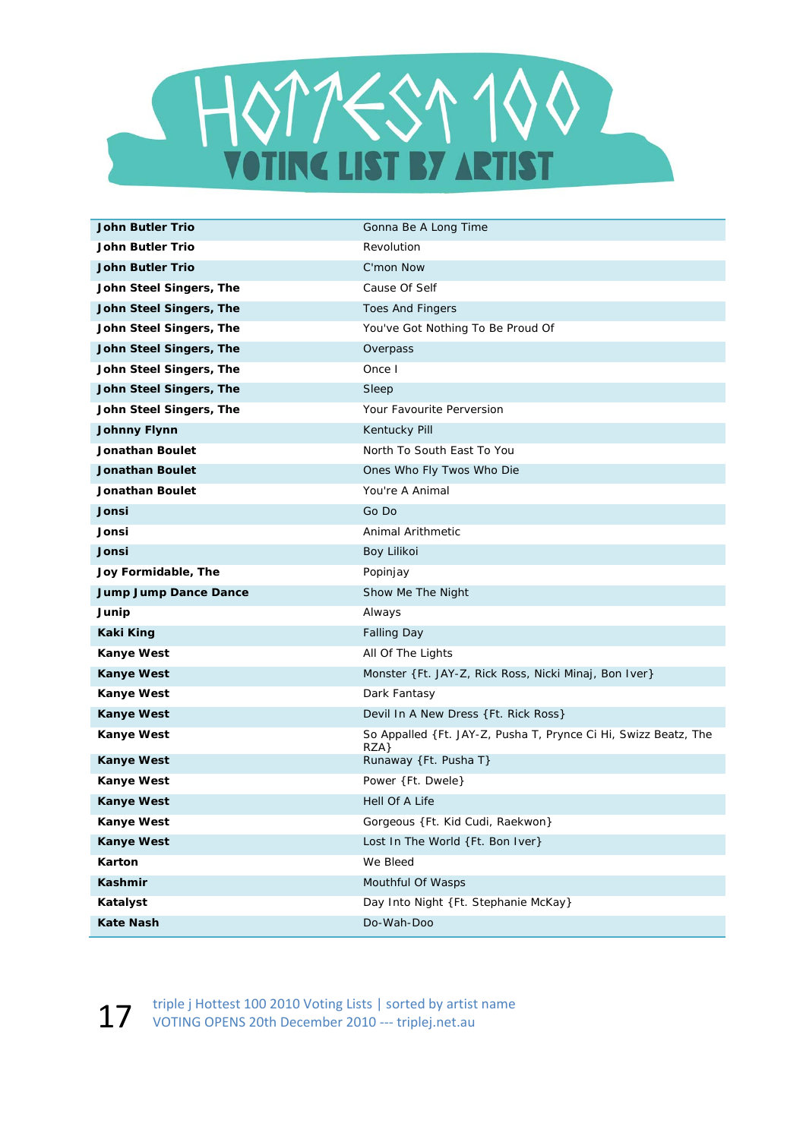

| <b>John Butler Trio</b>      | Gonna Be A Long Time                                                   |
|------------------------------|------------------------------------------------------------------------|
| John Butler Trio             | Revolution                                                             |
| <b>John Butler Trio</b>      | C'mon Now                                                              |
| John Steel Singers, The      | Cause Of Self                                                          |
| John Steel Singers, The      | <b>Toes And Fingers</b>                                                |
| John Steel Singers, The      | You've Got Nothing To Be Proud Of                                      |
| John Steel Singers, The      | Overpass                                                               |
| John Steel Singers, The      | Once I                                                                 |
| John Steel Singers, The      | Sleep                                                                  |
| John Steel Singers, The      | Your Favourite Perversion                                              |
| <b>Johnny Flynn</b>          | Kentucky Pill                                                          |
| Jonathan Boulet              | North To South East To You                                             |
| <b>Jonathan Boulet</b>       | Ones Who Fly Twos Who Die                                              |
| Jonathan Boulet              | You're A Animal                                                        |
| Jonsi                        | Go Do                                                                  |
| Jonsi                        | Animal Arithmetic                                                      |
| Jonsi                        | Boy Lilikoi                                                            |
| Joy Formidable, The          | Popinjay                                                               |
| <b>Jump Jump Dance Dance</b> | Show Me The Night                                                      |
| Junip                        | Always                                                                 |
| <b>Kaki King</b>             | <b>Falling Day</b>                                                     |
| Kanye West                   | All Of The Lights                                                      |
| <b>Kanye West</b>            | Monster {Ft. JAY-Z, Rick Ross, Nicki Minaj, Bon Iver}                  |
| <b>Kanye West</b>            | Dark Fantasy                                                           |
| <b>Kanye West</b>            | Devil In A New Dress {Ft. Rick Ross}                                   |
| <b>Kanye West</b>            | So Appalled {Ft. JAY-Z, Pusha T, Prynce Ci Hi, Swizz Beatz, The<br>RZA |
| <b>Kanye West</b>            | Runaway {Ft. Pusha T}                                                  |
| <b>Kanye West</b>            | Power {Ft. Dwele}                                                      |
| <b>Kanye West</b>            | Hell Of A Life                                                         |
| <b>Kanye West</b>            | Gorgeous { Ft. Kid Cudi, Raekwon}                                      |
| <b>Kanye West</b>            | Lost In The World {Ft. Bon Iver}                                       |
| Karton                       | We Bleed                                                               |
| Kashmir                      | Mouthful Of Wasps                                                      |
| Katalyst                     | Day Into Night {Ft. Stephanie McKay}                                   |
| <b>Kate Nash</b>             | Do-Wah-Doo                                                             |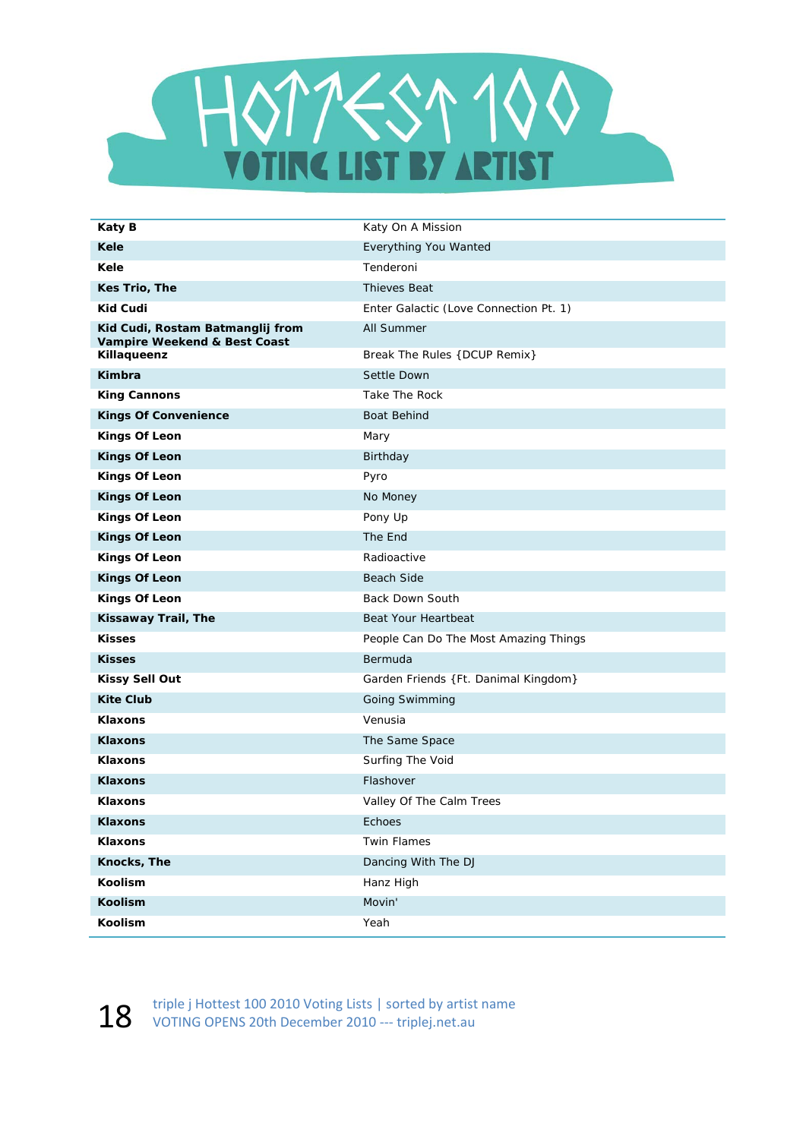

| Katy B                                                           | Katy On A Mission                      |
|------------------------------------------------------------------|----------------------------------------|
| Kele                                                             | Everything You Wanted                  |
| Kele                                                             | Tenderoni                              |
| Kes Trio, The                                                    | <b>Thieves Beat</b>                    |
| <b>Kid Cudi</b>                                                  | Enter Galactic (Love Connection Pt. 1) |
| Kid Cudi, Rostam Batmanglij from<br>Vampire Weekend & Best Coast | All Summer                             |
| Killaqueenz                                                      | Break The Rules {DCUP Remix}           |
| Kimbra                                                           | Settle Down                            |
| <b>King Cannons</b>                                              | Take The Rock                          |
| <b>Kings Of Convenience</b>                                      | <b>Boat Behind</b>                     |
| <b>Kings Of Leon</b>                                             | Mary                                   |
| <b>Kings Of Leon</b>                                             | Birthday                               |
| <b>Kings Of Leon</b>                                             | Pyro                                   |
| <b>Kings Of Leon</b>                                             | No Money                               |
| <b>Kings Of Leon</b>                                             | Pony Up                                |
| <b>Kings Of Leon</b>                                             | The End                                |
| <b>Kings Of Leon</b>                                             | Radioactive                            |
| <b>Kings Of Leon</b>                                             | <b>Beach Side</b>                      |
| <b>Kings Of Leon</b>                                             | <b>Back Down South</b>                 |
| Kissaway Trail, The                                              | Beat Your Heartbeat                    |
| <b>Kisses</b>                                                    | People Can Do The Most Amazing Things  |
| <b>Kisses</b>                                                    | Bermuda                                |
| <b>Kissy Sell Out</b>                                            | Garden Friends { Ft. Danimal Kingdom}  |
| <b>Kite Club</b>                                                 | Going Swimming                         |
| <b>Klaxons</b>                                                   | Venusia                                |
| <b>Klaxons</b>                                                   | The Same Space                         |
| <b>Klaxons</b>                                                   | Surfing The Void                       |
| <b>Klaxons</b>                                                   | Flashover                              |
| <b>Klaxons</b>                                                   | Valley Of The Calm Trees               |
| <b>Klaxons</b>                                                   | Echoes                                 |
| Klaxons                                                          | Twin Flames                            |
| Knocks, The                                                      | Dancing With The DJ                    |
| Koolism                                                          | Hanz High                              |
| <b>Koolism</b>                                                   | Movin'                                 |
| Koolism                                                          | Yeah                                   |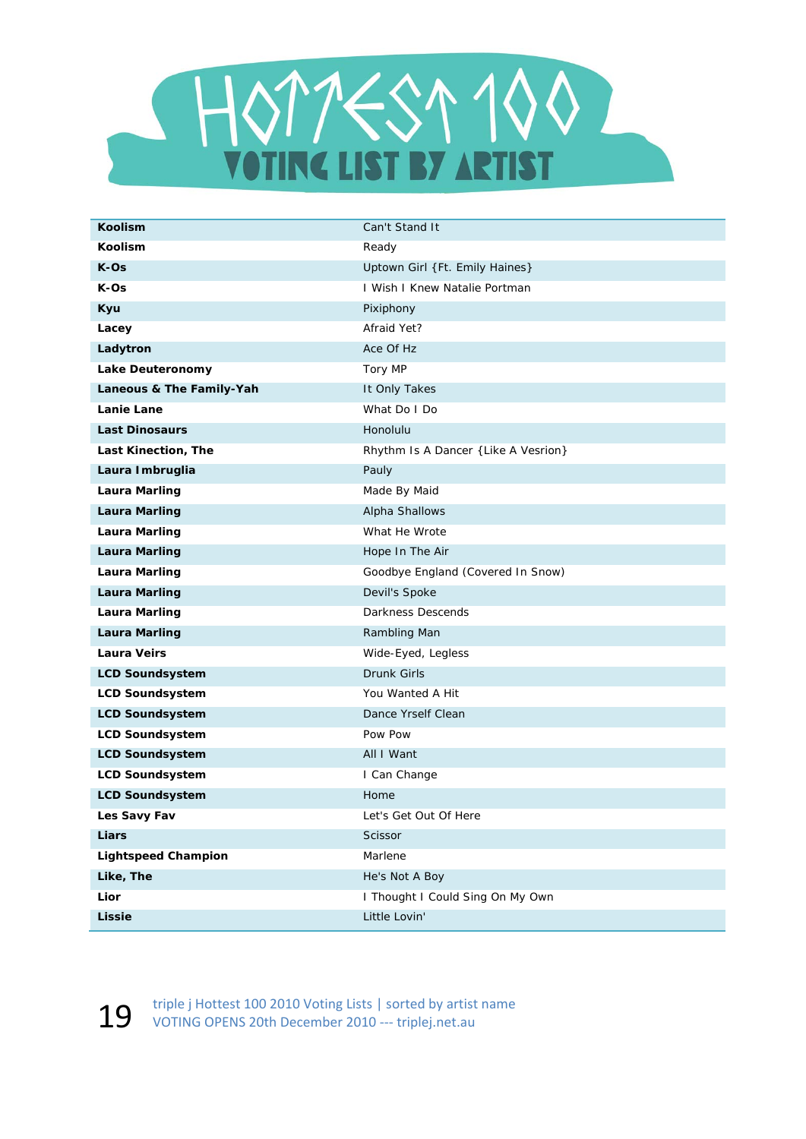

| <b>Koolism</b>             | Can't Stand It                       |
|----------------------------|--------------------------------------|
| <b>Koolism</b>             | Ready                                |
| $K-OS$                     | Uptown Girl {Ft. Emily Haines}       |
| K-Os                       | I Wish I Knew Natalie Portman        |
| Kyu                        | Pixiphony                            |
| Lacey                      | Afraid Yet?                          |
| Ladytron                   | Ace Of Hz                            |
| Lake Deuteronomy           | Tory MP                              |
| Laneous & The Family-Yah   | It Only Takes                        |
| Lanie Lane                 | What Do I Do                         |
| <b>Last Dinosaurs</b>      | Honolulu                             |
| Last Kinection, The        | Rhythm Is A Dancer { Like A Vesrion} |
| Laura Imbruglia            | Pauly                                |
| <b>Laura Marling</b>       | Made By Maid                         |
| <b>Laura Marling</b>       | Alpha Shallows                       |
| <b>Laura Marling</b>       | What He Wrote                        |
| <b>Laura Marling</b>       | Hope In The Air                      |
| <b>Laura Marling</b>       | Goodbye England (Covered In Snow)    |
| <b>Laura Marling</b>       | Devil's Spoke                        |
| <b>Laura Marling</b>       | Darkness Descends                    |
| <b>Laura Marling</b>       | Rambling Man                         |
| <b>Laura Veirs</b>         | Wide-Eyed, Legless                   |
| <b>LCD Soundsystem</b>     | Drunk Girls                          |
| <b>LCD Soundsystem</b>     | You Wanted A Hit                     |
| <b>LCD Soundsystem</b>     | Dance Yrself Clean                   |
| <b>LCD Soundsystem</b>     | Pow Pow                              |
| <b>LCD Soundsystem</b>     | All I Want                           |
| <b>LCD Soundsystem</b>     | I Can Change                         |
| <b>LCD Soundsystem</b>     | Home                                 |
| Les Savy Fav               | Let's Get Out Of Here                |
| Liars                      | Scissor                              |
| <b>Lightspeed Champion</b> | Marlene                              |
| Like, The                  | He's Not A Boy                       |
| Lior                       | I Thought I Could Sing On My Own     |
| <b>Lissie</b>              | Little Lovin'                        |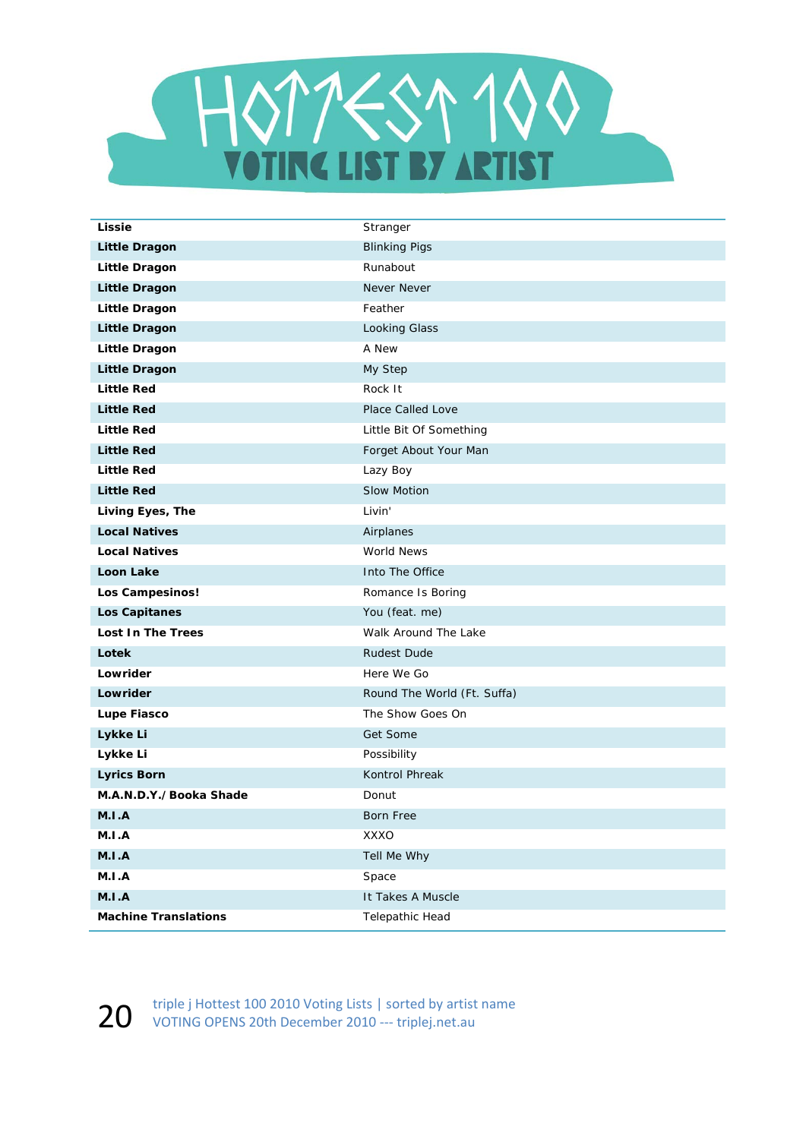

| Lissie                      | Stranger                    |
|-----------------------------|-----------------------------|
| <b>Little Dragon</b>        | <b>Blinking Pigs</b>        |
| <b>Little Dragon</b>        | Runabout                    |
| <b>Little Dragon</b>        | Never Never                 |
| <b>Little Dragon</b>        | Feather                     |
| <b>Little Dragon</b>        | Looking Glass               |
| <b>Little Dragon</b>        | A New                       |
| <b>Little Dragon</b>        | My Step                     |
| <b>Little Red</b>           | Rock It                     |
| <b>Little Red</b>           | Place Called Love           |
| <b>Little Red</b>           | Little Bit Of Something     |
| <b>Little Red</b>           | Forget About Your Man       |
| <b>Little Red</b>           | Lazy Boy                    |
| <b>Little Red</b>           | <b>Slow Motion</b>          |
| Living Eyes, The            | Livin'                      |
| <b>Local Natives</b>        | Airplanes                   |
| <b>Local Natives</b>        | World News                  |
| <b>Loon Lake</b>            | Into The Office             |
| Los Campesinos!             | Romance Is Boring           |
| <b>Los Capitanes</b>        | You (feat. me)              |
| <b>Lost In The Trees</b>    | Walk Around The Lake        |
| Lotek                       | <b>Rudest Dude</b>          |
| Lowrider                    | Here We Go                  |
| Lowrider                    | Round The World (Ft. Suffa) |
| Lupe Fiasco                 | The Show Goes On            |
| Lykke Li                    | Get Some                    |
| Lykke Li                    | Possibility                 |
| <b>Lyrics Born</b>          | Kontrol Phreak              |
| M.A.N.D.Y./Booka Shade      | Donut                       |
| M.I.A                       | Born Free                   |
| M.I.A                       | XXXO                        |
| A.I.M                       | Tell Me Why                 |
| A.I.M                       | Space                       |
| A.I.M                       | It Takes A Muscle           |
| <b>Machine Translations</b> | Telepathic Head             |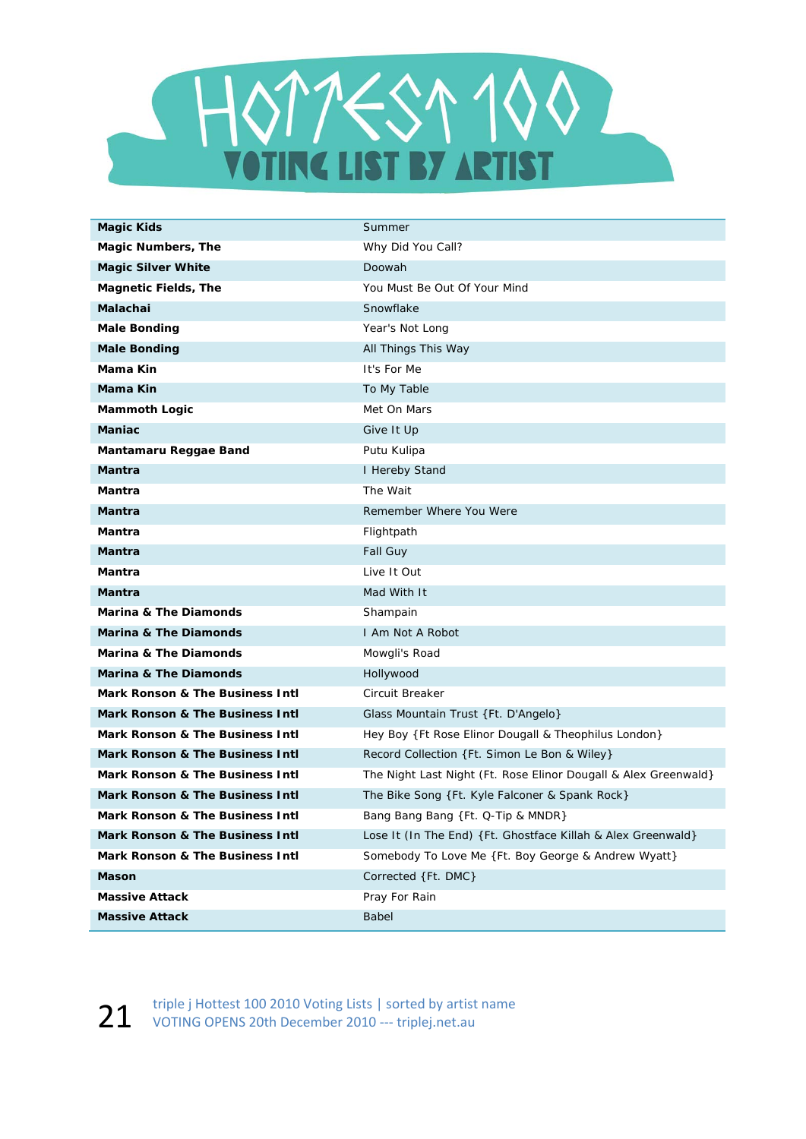

| <b>Magic Kids</b>                | Summer                                                          |
|----------------------------------|-----------------------------------------------------------------|
| <b>Magic Numbers, The</b>        | Why Did You Call?                                               |
| <b>Magic Silver White</b>        | Doowah                                                          |
| <b>Magnetic Fields, The</b>      | You Must Be Out Of Your Mind                                    |
| <b>Malachai</b>                  | Snowflake                                                       |
| <b>Male Bonding</b>              | Year's Not Long                                                 |
| <b>Male Bonding</b>              | All Things This Way                                             |
| Mama Kin                         | It's For Me                                                     |
| <b>Mama Kin</b>                  | To My Table                                                     |
| <b>Mammoth Logic</b>             | Met On Mars                                                     |
| <b>Maniac</b>                    | Give It Up                                                      |
| Mantamaru Reggae Band            | Putu Kulipa                                                     |
| Mantra                           | I Hereby Stand                                                  |
| Mantra                           | The Wait                                                        |
| Mantra                           | Remember Where You Were                                         |
| Mantra                           | Flightpath                                                      |
| Mantra                           | Fall Guy                                                        |
| Mantra                           | Live It Out                                                     |
| <b>Mantra</b>                    | Mad With It                                                     |
| <b>Marina &amp; The Diamonds</b> | Shampain                                                        |
| <b>Marina &amp; The Diamonds</b> | I Am Not A Robot                                                |
| <b>Marina &amp; The Diamonds</b> | Mowgli's Road                                                   |
| <b>Marina &amp; The Diamonds</b> | Hollywood                                                       |
| Mark Ronson & The Business Intl  | Circuit Breaker                                                 |
| Mark Ronson & The Business Intl  | Glass Mountain Trust {Ft. D'Angelo}                             |
| Mark Ronson & The Business Intl  | Hey Boy {Ft Rose Elinor Dougall & Theophilus London}            |
| Mark Ronson & The Business Intl  | Record Collection {Ft. Simon Le Bon & Wiley}                    |
| Mark Ronson & The Business Intl  | The Night Last Night (Ft. Rose Elinor Dougall & Alex Greenwald) |
| Mark Ronson & The Business Intl  | The Bike Song {Ft. Kyle Falconer & Spank Rock}                  |
| Mark Ronson & The Business Intl  | Bang Bang Bang {Ft. Q-Tip & MNDR}                               |
| Mark Ronson & The Business Intl  | Lose It (In The End) { Ft. Ghostface Killah & Alex Greenwald}   |
| Mark Ronson & The Business Intl  | Somebody To Love Me {Ft. Boy George & Andrew Wyatt}             |
| Mason                            | Corrected {Ft. DMC}                                             |
| <b>Massive Attack</b>            | Pray For Rain                                                   |
| <b>Massive Attack</b>            | Babel                                                           |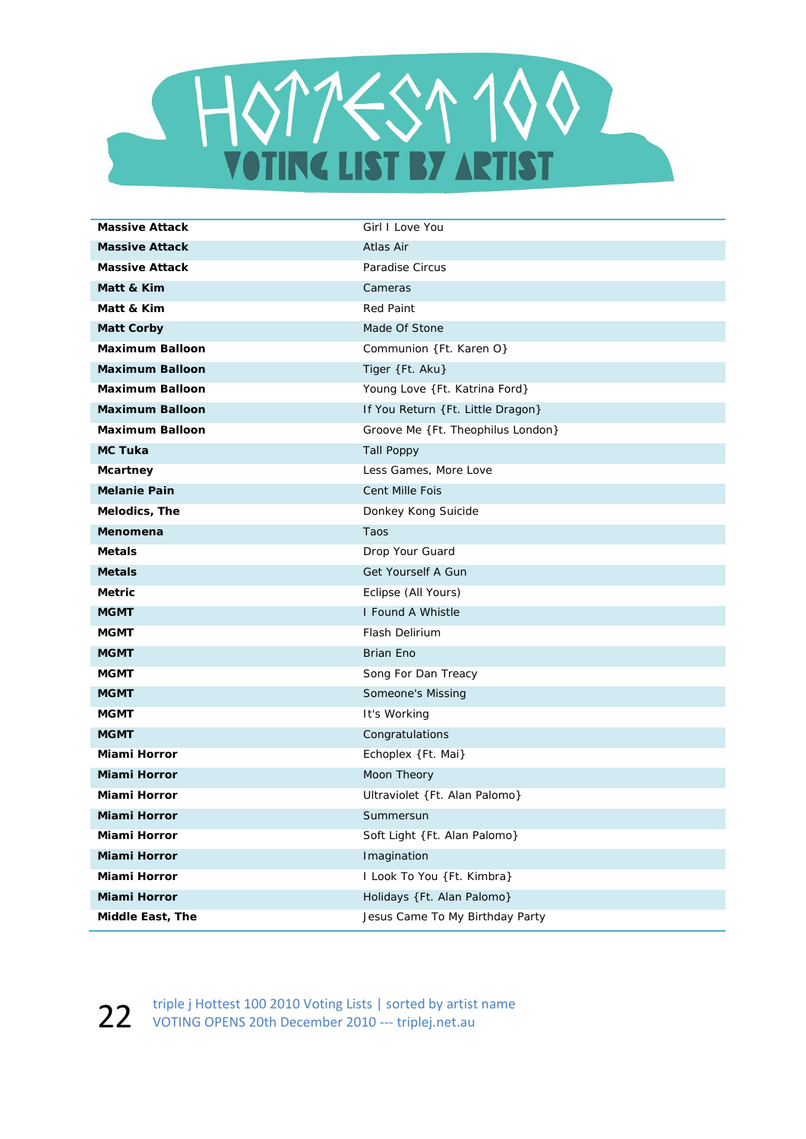

| <b>Massive Attack</b>  | Girl I Love You                   |
|------------------------|-----------------------------------|
| <b>Massive Attack</b>  | Atlas Air                         |
| <b>Massive Attack</b>  | Paradise Circus                   |
| Matt & Kim             | Cameras                           |
| Matt & Kim             | <b>Red Paint</b>                  |
| <b>Matt Corby</b>      | Made Of Stone                     |
| <b>Maximum Balloon</b> | Communion {Ft. Karen O}           |
| <b>Maximum Balloon</b> | Tiger {Ft. Aku}                   |
| <b>Maximum Balloon</b> | Young Love {Ft. Katrina Ford}     |
| <b>Maximum Balloon</b> | If You Return {Ft. Little Dragon} |
| <b>Maximum Balloon</b> | Groove Me {Ft. Theophilus London} |
| <b>MC Tuka</b>         | <b>Tall Poppy</b>                 |
| Mcartney               | Less Games, More Love             |
| <b>Melanie Pain</b>    | <b>Cent Mille Fois</b>            |
| Melodics, The          | Donkey Kong Suicide               |
| Menomena               | Taos                              |
| <b>Metals</b>          | Drop Your Guard                   |
| <b>Metals</b>          | Get Yourself A Gun                |
| <b>Metric</b>          | Eclipse (All Yours)               |
| <b>MGMT</b>            | I Found A Whistle                 |
| <b>MGMT</b>            | <b>Flash Delirium</b>             |
| <b>MGMT</b>            | <b>Brian Eno</b>                  |
| <b>MGMT</b>            | Song For Dan Treacy               |
| <b>MGMT</b>            | Someone's Missing                 |
| <b>MGMT</b>            | It's Working                      |
| <b>MGMT</b>            | Congratulations                   |
| Miami Horror           | Echoplex {Ft. Mai}                |
| <b>Miami Horror</b>    | Moon Theory                       |
| Miami Horror           | Ultraviolet {Ft. Alan Palomo}     |
| <b>Miami Horror</b>    | Summersun                         |
| Miami Horror           | Soft Light {Ft. Alan Palomo}      |
| Miami Horror           | Imagination                       |
| Miami Horror           | I Look To You {Ft. Kimbra}        |
| <b>Miami Horror</b>    | Holidays {Ft. Alan Palomo}        |
| Middle East, The       | Jesus Came To My Birthday Party   |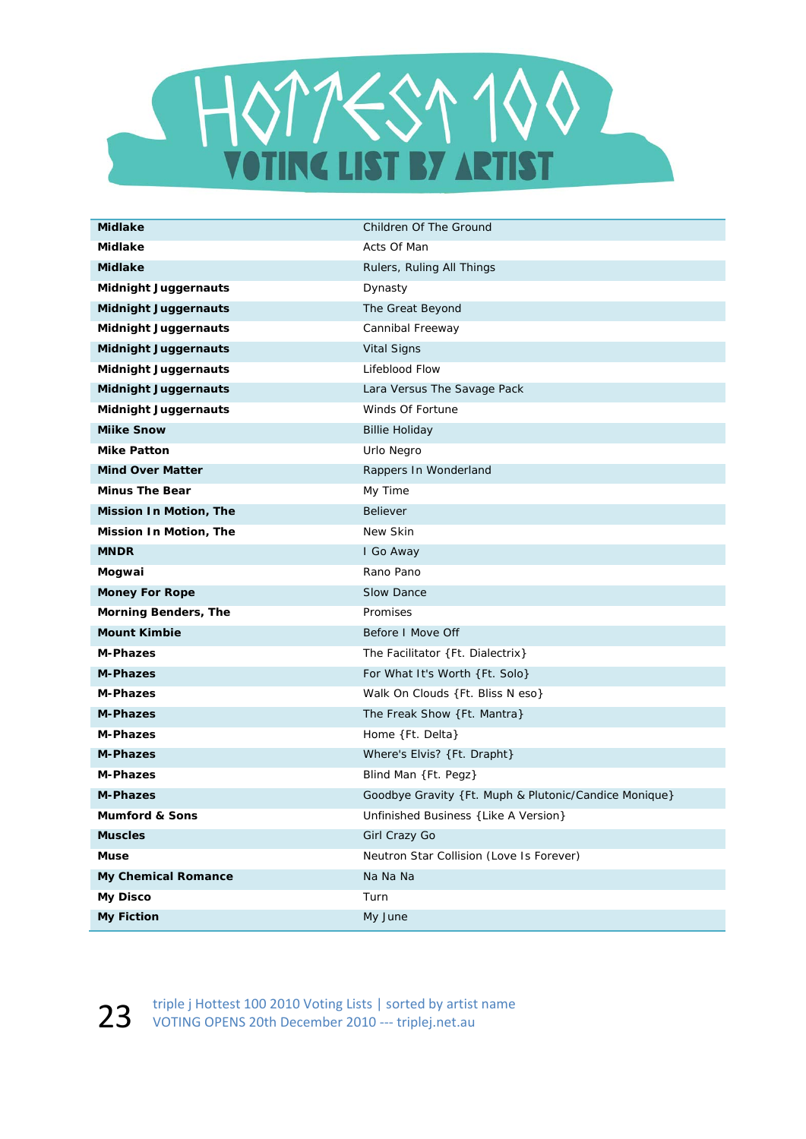

| <b>Midlake</b>              | Children Of The Ground                                 |
|-----------------------------|--------------------------------------------------------|
| <b>Midlake</b>              | Acts Of Man                                            |
| <b>Midlake</b>              | Rulers, Ruling All Things                              |
| <b>Midnight Juggernauts</b> | Dynasty                                                |
| <b>Midnight Juggernauts</b> | The Great Beyond                                       |
| <b>Midnight Juggernauts</b> | Cannibal Freeway                                       |
| <b>Midnight Juggernauts</b> | <b>Vital Signs</b>                                     |
| <b>Midnight Juggernauts</b> | Lifeblood Flow                                         |
| <b>Midnight Juggernauts</b> | Lara Versus The Savage Pack                            |
| <b>Midnight Juggernauts</b> | Winds Of Fortune                                       |
| <b>Miike Snow</b>           | <b>Billie Holiday</b>                                  |
| <b>Mike Patton</b>          | Urlo Negro                                             |
| <b>Mind Over Matter</b>     | Rappers In Wonderland                                  |
| <b>Minus The Bear</b>       | My Time                                                |
| Mission In Motion, The      | <b>Believer</b>                                        |
| Mission In Motion, The      | New Skin                                               |
| <b>MNDR</b>                 | I Go Away                                              |
| Mogwai                      | Rano Pano                                              |
| <b>Money For Rope</b>       | Slow Dance                                             |
| <b>Morning Benders, The</b> | Promises                                               |
| <b>Mount Kimbie</b>         | Before I Move Off                                      |
| <b>M-Phazes</b>             | The Facilitator {Ft. Dialectrix}                       |
| <b>M-Phazes</b>             | For What It's Worth {Ft. Solo}                         |
| <b>M-Phazes</b>             | Walk On Clouds {Ft. Bliss N eso}                       |
| <b>M-Phazes</b>             | The Freak Show {Ft. Mantra}                            |
| <b>M-Phazes</b>             | Home {Ft. Delta}                                       |
| <b>M-Phazes</b>             | Where's Elvis? {Ft. Drapht}                            |
| <b>M-Phazes</b>             | Blind Man {Ft. Pegz}                                   |
| <b>M-Phazes</b>             | Goodbye Gravity { Ft. Muph & Plutonic/Candice Monique} |
| <b>Mumford &amp; Sons</b>   | Unfinished Business { Like A Version}                  |
| <b>Muscles</b>              | Girl Crazy Go                                          |
| <b>Muse</b>                 | Neutron Star Collision (Love Is Forever)               |
| <b>My Chemical Romance</b>  | Na Na Na                                               |
| <b>My Disco</b>             | Turn                                                   |
| <b>My Fiction</b>           | My June                                                |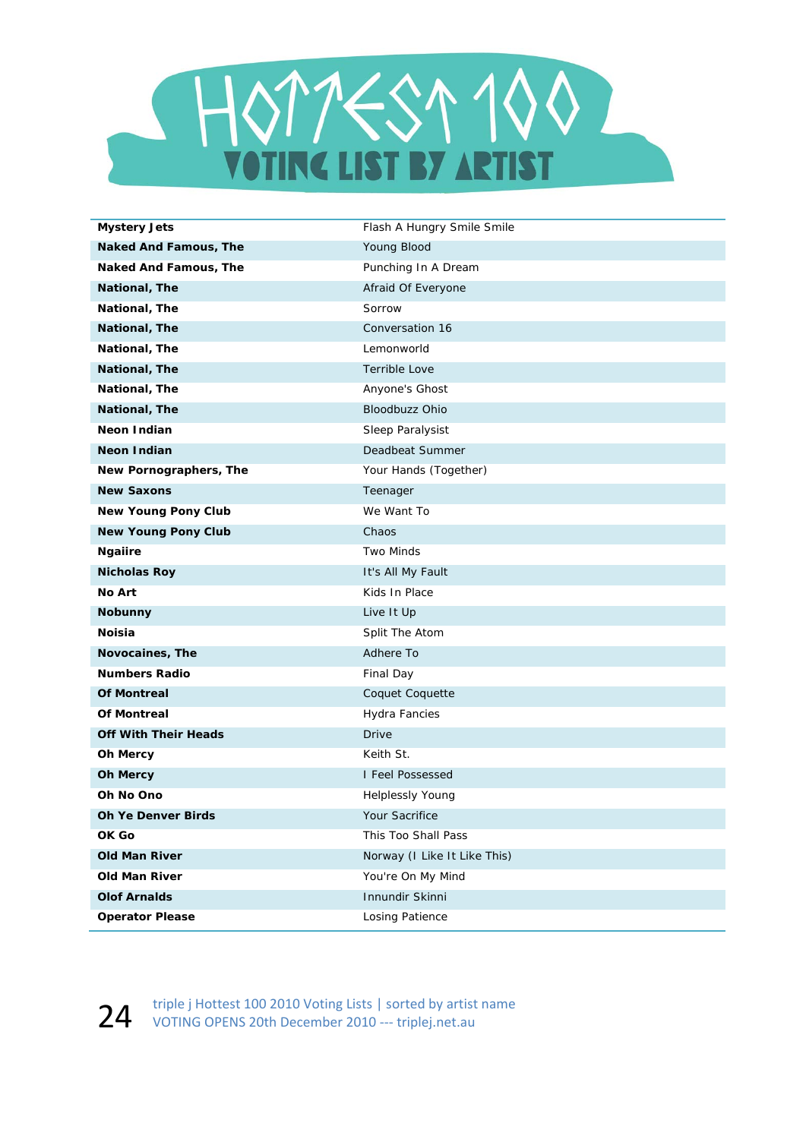

| <b>Mystery Jets</b>          | Flash A Hungry Smile Smile   |
|------------------------------|------------------------------|
| <b>Naked And Famous, The</b> | Young Blood                  |
| Naked And Famous, The        | Punching In A Dream          |
| National, The                | Afraid Of Everyone           |
| National, The                | Sorrow                       |
| National, The                | Conversation 16              |
| National, The                | Lemonworld                   |
| National, The                | <b>Terrible Love</b>         |
| National, The                | Anyone's Ghost               |
| National, The                | Bloodbuzz Ohio               |
| Neon Indian                  | Sleep Paralysist             |
| <b>Neon Indian</b>           | Deadbeat Summer              |
| New Pornographers, The       | Your Hands (Together)        |
| <b>New Saxons</b>            | Teenager                     |
| <b>New Young Pony Club</b>   | We Want To                   |
| <b>New Young Pony Club</b>   | Chaos                        |
| <b>Ngaiire</b>               | <b>Two Minds</b>             |
| <b>Nicholas Roy</b>          | It's All My Fault            |
| No Art                       | Kids In Place                |
| <b>Nobunny</b>               | Live It Up                   |
| <b>Noisia</b>                | Split The Atom               |
| Novocaines, The              | Adhere To                    |
| <b>Numbers Radio</b>         | Final Day                    |
| <b>Of Montreal</b>           | Coquet Coquette              |
| <b>Of Montreal</b>           | Hydra Fancies                |
| <b>Off With Their Heads</b>  | <b>Drive</b>                 |
| <b>Oh Mercy</b>              | Keith St.                    |
| <b>Oh Mercy</b>              | I Feel Possessed             |
| Oh No Ono                    | <b>Helplessly Young</b>      |
| <b>Oh Ye Denver Birds</b>    | Your Sacrifice               |
| OK Go                        | This Too Shall Pass          |
| <b>Old Man River</b>         | Norway (I Like It Like This) |
| Old Man River                | You're On My Mind            |
| <b>Olof Arnalds</b>          | Innundir Skinni              |
| <b>Operator Please</b>       | <b>Losing Patience</b>       |

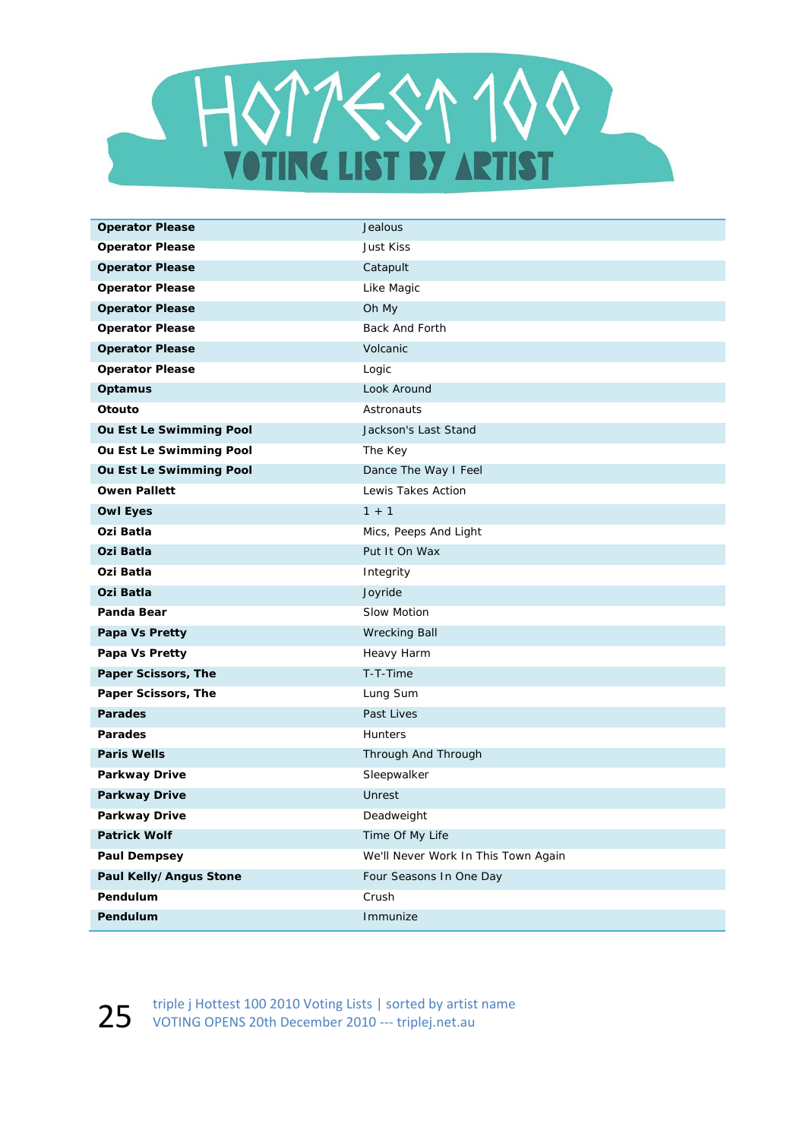

| <b>Operator Please</b>  | Jealous                             |
|-------------------------|-------------------------------------|
| <b>Operator Please</b>  | Just Kiss                           |
| <b>Operator Please</b>  | Catapult                            |
| <b>Operator Please</b>  | Like Magic                          |
| <b>Operator Please</b>  | Oh My                               |
| <b>Operator Please</b>  | Back And Forth                      |
| <b>Operator Please</b>  | Volcanic                            |
| <b>Operator Please</b>  | Logic                               |
| Optamus                 | Look Around                         |
| Otouto                  | Astronauts                          |
| Ou Est Le Swimming Pool | Jackson's Last Stand                |
| Ou Est Le Swimming Pool | The Key                             |
| Ou Est Le Swimming Pool | Dance The Way I Feel                |
| <b>Owen Pallett</b>     | Lewis Takes Action                  |
| <b>Owl Eyes</b>         | $1 + 1$                             |
| Ozi Batla               | Mics, Peeps And Light               |
| Ozi Batla               | Put It On Wax                       |
| Ozi Batla               | Integrity                           |
| Ozi Batla               | Joyride                             |
| Panda Bear              | Slow Motion                         |
| Papa Vs Pretty          | <b>Wrecking Ball</b>                |
| Papa Vs Pretty          | Heavy Harm                          |
| Paper Scissors, The     | T-T-Time                            |
| Paper Scissors, The     | Lung Sum                            |
| <b>Parades</b>          | Past Lives                          |
| <b>Parades</b>          | Hunters                             |
| <b>Paris Wells</b>      | Through And Through                 |
| <b>Parkway Drive</b>    | Sleepwalker                         |
| <b>Parkway Drive</b>    | Unrest                              |
| Parkway Drive           | Deadweight                          |
| <b>Patrick Wolf</b>     | Time Of My Life                     |
| <b>Paul Dempsey</b>     | We'll Never Work In This Town Again |
| Paul Kelly/Angus Stone  | Four Seasons In One Day             |
| Pendulum                | Crush                               |
| Pendulum                | Immunize                            |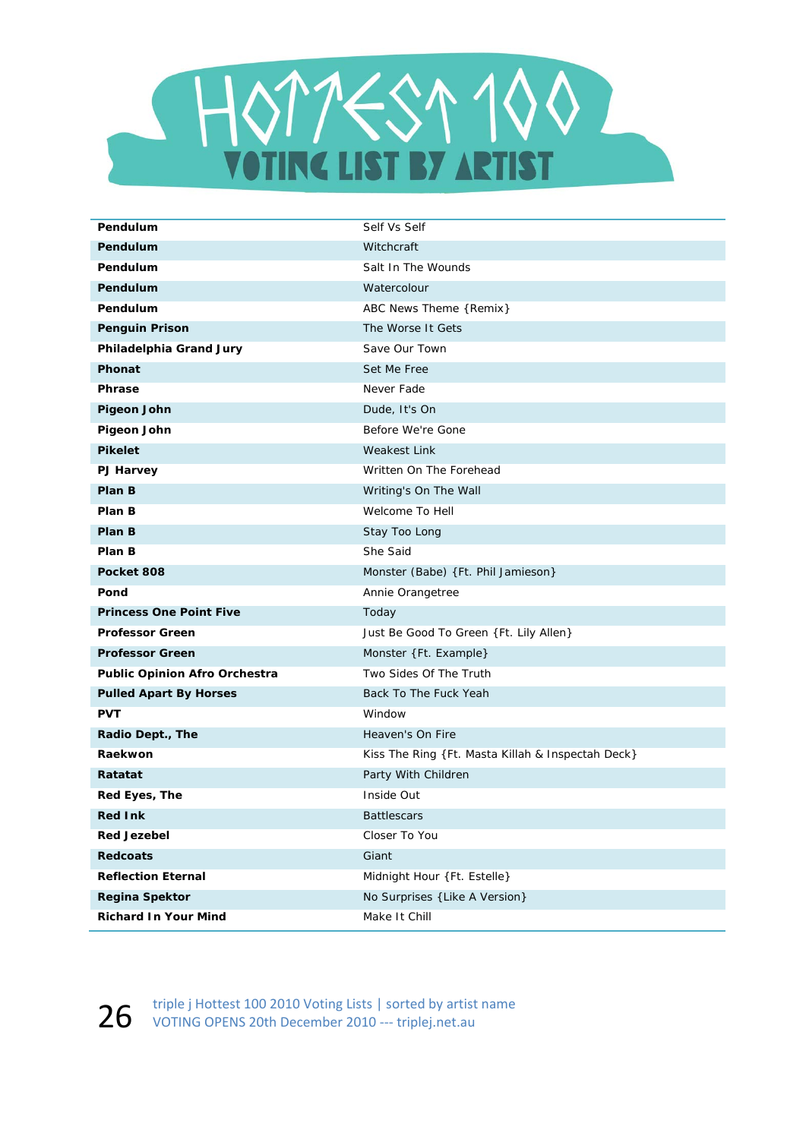

| Pendulum                             | Self Vs Self                                      |
|--------------------------------------|---------------------------------------------------|
| Pendulum                             | Witchcraft                                        |
| Pendulum                             | Salt In The Wounds                                |
| Pendulum                             | Watercolour                                       |
| Pendulum                             | ABC News Theme {Remix}                            |
| <b>Penguin Prison</b>                | The Worse It Gets                                 |
| Philadelphia Grand Jury              | Save Our Town                                     |
| Phonat                               | Set Me Free                                       |
| <b>Phrase</b>                        | Never Fade                                        |
| <b>Pigeon John</b>                   | Dude, It's On                                     |
| <b>Pigeon John</b>                   | Before We're Gone                                 |
| <b>Pikelet</b>                       | <b>Weakest Link</b>                               |
| PJ Harvey                            | Written On The Forehead                           |
| Plan B                               | Writing's On The Wall                             |
| Plan B                               | Welcome To Hell                                   |
| Plan B                               | Stay Too Long                                     |
| Plan B                               | She Said                                          |
| Pocket 808                           | Monster (Babe) {Ft. Phil Jamieson}                |
| Pond                                 | Annie Orangetree                                  |
| <b>Princess One Point Five</b>       | Today                                             |
| <b>Professor Green</b>               | Just Be Good To Green {Ft. Lily Allen}            |
| <b>Professor Green</b>               | Monster {Ft. Example}                             |
| <b>Public Opinion Afro Orchestra</b> | Two Sides Of The Truth                            |
| <b>Pulled Apart By Horses</b>        | Back To The Fuck Yeah                             |
| <b>PVT</b>                           | Window                                            |
| Radio Dept., The                     | Heaven's On Fire                                  |
| Raekwon                              | Kiss The Ring {Ft. Masta Killah & Inspectah Deck} |
| Ratatat                              | Party With Children                               |
| Red Eyes, The                        | Inside Out                                        |
| <b>Red Ink</b>                       | <b>Battlescars</b>                                |
| <b>Red Jezebel</b>                   | Closer To You                                     |
| <b>Redcoats</b>                      | Giant                                             |
| <b>Reflection Eternal</b>            | Midnight Hour {Ft. Estelle}                       |
| <b>Regina Spektor</b>                | No Surprises { Like A Version}                    |
| <b>Richard In Your Mind</b>          | Make It Chill                                     |

26 triple j Hottest 100 2010 Voting Lists | sorted by artist name<br>2010 --- triplej.net.au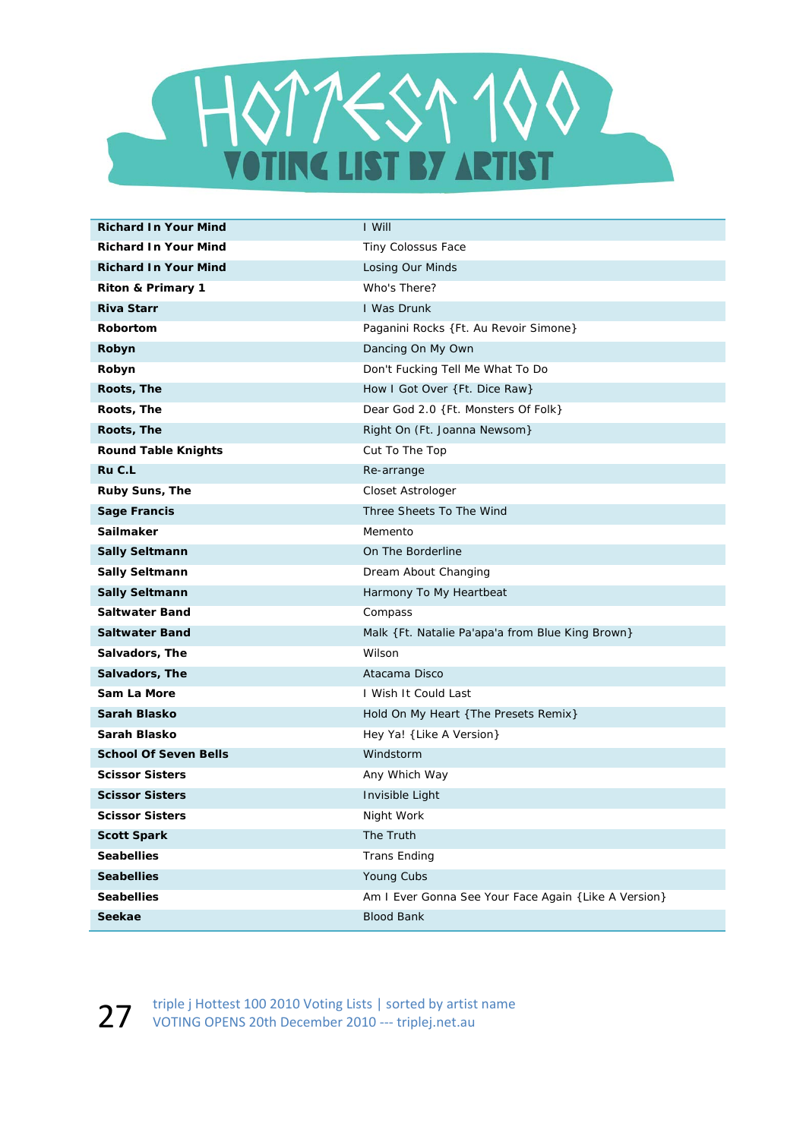

| <b>Richard In Your Mind</b>  | I Will                                                |
|------------------------------|-------------------------------------------------------|
| <b>Richard In Your Mind</b>  | Tiny Colossus Face                                    |
| <b>Richard In Your Mind</b>  | Losing Our Minds                                      |
| Riton & Primary 1            | Who's There?                                          |
| <b>Riva Starr</b>            | <b>I Was Drunk</b>                                    |
| <b>Robortom</b>              | Paganini Rocks {Ft. Au Revoir Simone}                 |
| Robyn                        | Dancing On My Own                                     |
| Robyn                        | Don't Fucking Tell Me What To Do                      |
| Roots, The                   | How I Got Over {Ft. Dice Raw}                         |
| Roots, The                   | Dear God 2.0 {Ft. Monsters Of Folk}                   |
| Roots, The                   | Right On (Ft. Joanna Newsom)                          |
| <b>Round Table Knights</b>   | Cut To The Top                                        |
| Ru C.L                       | Re-arrange                                            |
| Ruby Suns, The               | Closet Astrologer                                     |
| <b>Sage Francis</b>          | Three Sheets To The Wind                              |
| Sailmaker                    | Memento                                               |
| <b>Sally Seltmann</b>        | On The Borderline                                     |
| <b>Sally Seltmann</b>        | Dream About Changing                                  |
| <b>Sally Seltmann</b>        | Harmony To My Heartbeat                               |
| <b>Saltwater Band</b>        | Compass                                               |
| <b>Saltwater Band</b>        | Malk { Ft. Natalie Pa'apa'a from Blue King Brown}     |
| Salvadors, The               | Wilson                                                |
| Salvadors, The               | Atacama Disco                                         |
| Sam La More                  | I Wish It Could Last                                  |
| Sarah Blasko                 | Hold On My Heart { The Presets Remix}                 |
| Sarah Blasko                 | Hey Ya! { Like A Version}                             |
| <b>School Of Seven Bells</b> | Windstorm                                             |
| <b>Scissor Sisters</b>       | Any Which Way                                         |
| <b>Scissor Sisters</b>       | Invisible Light                                       |
| <b>Scissor Sisters</b>       | Night Work                                            |
| <b>Scott Spark</b>           | The Truth                                             |
| <b>Seabellies</b>            | <b>Trans Ending</b>                                   |
| <b>Seabellies</b>            | Young Cubs                                            |
| <b>Seabellies</b>            | Am I Ever Gonna See Your Face Again { Like A Version} |
| <b>Seekae</b>                | <b>Blood Bank</b>                                     |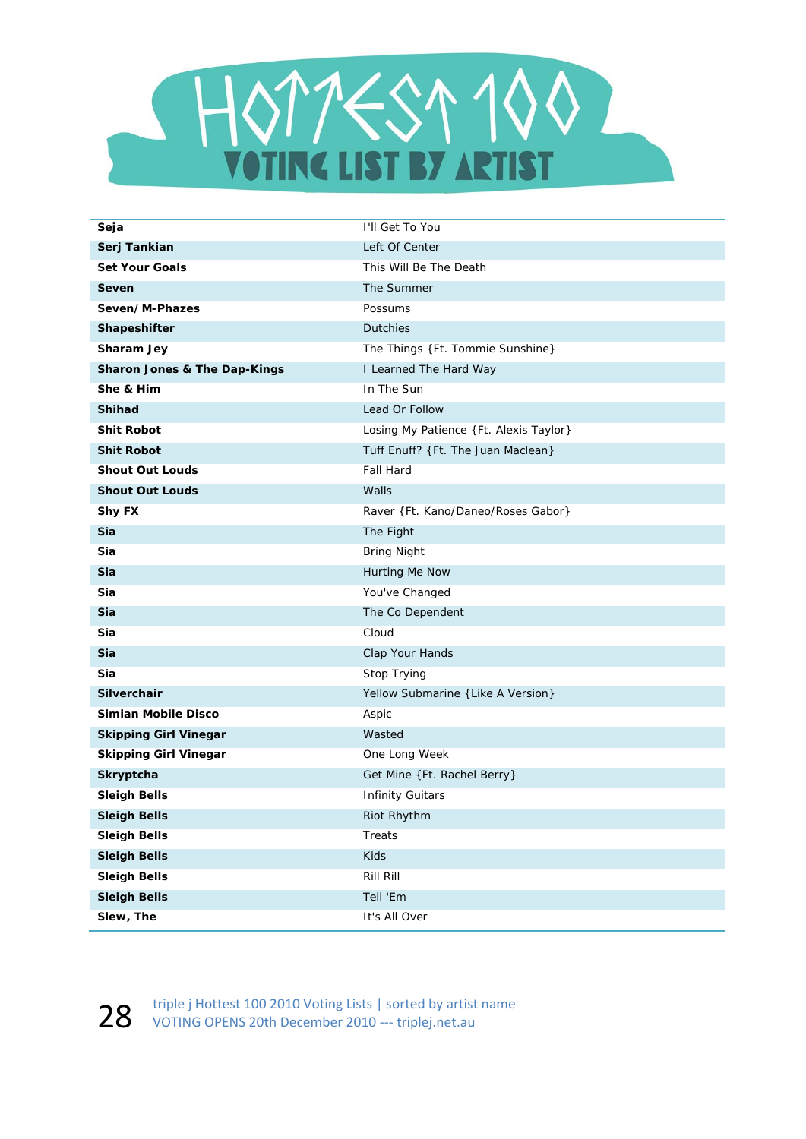

| Seja                                    | I'll Get To You                        |
|-----------------------------------------|----------------------------------------|
| Serj Tankian                            | Left Of Center                         |
| <b>Set Your Goals</b>                   | This Will Be The Death                 |
| Seven                                   | The Summer                             |
| Seven/M-Phazes                          | Possums                                |
| Shapeshifter                            | <b>Dutchies</b>                        |
| Sharam Jey                              | The Things {Ft. Tommie Sunshine}       |
| <b>Sharon Jones &amp; The Dap-Kings</b> | I Learned The Hard Way                 |
| She & Him                               | In The Sun                             |
| <b>Shihad</b>                           | Lead Or Follow                         |
| <b>Shit Robot</b>                       | Losing My Patience {Ft. Alexis Taylor} |
| <b>Shit Robot</b>                       | Tuff Enuff? {Ft. The Juan Maclean}     |
| <b>Shout Out Louds</b>                  | <b>Fall Hard</b>                       |
| <b>Shout Out Louds</b>                  | Walls                                  |
| <b>Shy FX</b>                           | Raver {Ft. Kano/Daneo/Roses Gabor}     |
| Sia                                     | The Fight                              |
| Sia                                     | <b>Bring Night</b>                     |
| Sia                                     | Hurting Me Now                         |
| Sia                                     | You've Changed                         |
| Sia                                     | The Co Dependent                       |
| Sia                                     | Cloud                                  |
| Sia                                     | Clap Your Hands                        |
| Sia                                     | Stop Trying                            |
| <b>Silverchair</b>                      | Yellow Submarine { Like A Version}     |
| Simian Mobile Disco                     | Aspic                                  |
| <b>Skipping Girl Vinegar</b>            | Wasted                                 |
| <b>Skipping Girl Vinegar</b>            | One Long Week                          |
| Skryptcha                               | Get Mine {Ft. Rachel Berry}            |
| <b>Sleigh Bells</b>                     | <b>Infinity Guitars</b>                |
| <b>Sleigh Bells</b>                     | Riot Rhythm                            |
| <b>Sleigh Bells</b>                     | Treats                                 |
| <b>Sleigh Bells</b>                     | Kids                                   |
| <b>Sleigh Bells</b>                     | Rill Rill                              |
| <b>Sleigh Bells</b>                     | Tell 'Em                               |
| Slew, The                               | It's All Over                          |

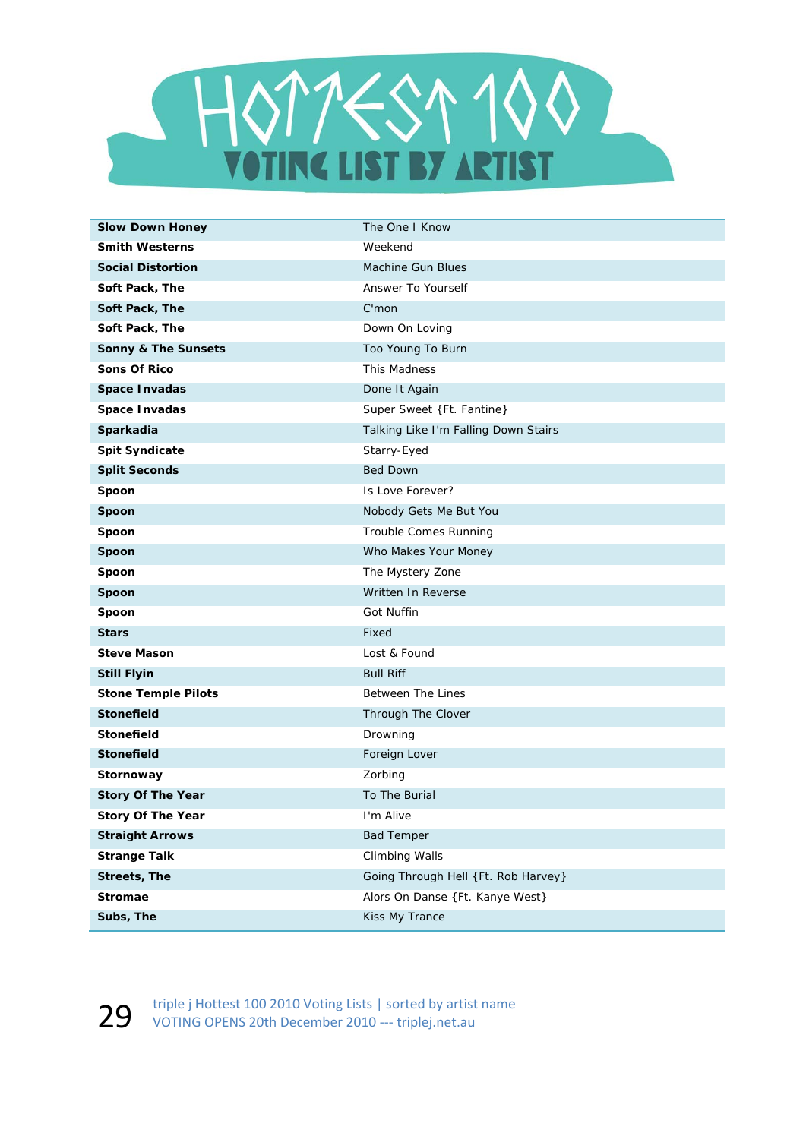

| <b>Slow Down Honey</b>     | The One I Know                       |
|----------------------------|--------------------------------------|
| <b>Smith Westerns</b>      | Weekend                              |
| <b>Social Distortion</b>   | <b>Machine Gun Blues</b>             |
| Soft Pack, The             | Answer To Yourself                   |
| Soft Pack, The             | $C'$ mon                             |
| Soft Pack, The             | Down On Loving                       |
| Sonny & The Sunsets        | Too Young To Burn                    |
| <b>Sons Of Rico</b>        | This Madness                         |
| <b>Space Invadas</b>       | Done It Again                        |
| Space Invadas              | Super Sweet {Ft. Fantine}            |
| Sparkadia                  | Talking Like I'm Falling Down Stairs |
| <b>Spit Syndicate</b>      | Starry-Eyed                          |
| <b>Split Seconds</b>       | <b>Bed Down</b>                      |
| Spoon                      | Is Love Forever?                     |
| Spoon                      | Nobody Gets Me But You               |
| Spoon                      | Trouble Comes Running                |
| Spoon                      | Who Makes Your Money                 |
| Spoon                      | The Mystery Zone                     |
| Spoon                      | Written In Reverse                   |
| Spoon                      | Got Nuffin                           |
| <b>Stars</b>               | Fixed                                |
| <b>Steve Mason</b>         | Lost & Found                         |
| <b>Still Flyin</b>         | <b>Bull Riff</b>                     |
| <b>Stone Temple Pilots</b> | <b>Between The Lines</b>             |
| <b>Stonefield</b>          | Through The Clover                   |
| <b>Stonefield</b>          | Drowning                             |
| <b>Stonefield</b>          | Foreign Lover                        |
| Stornoway                  | Zorbing                              |
| <b>Story Of The Year</b>   | To The Burial                        |
| <b>Story Of The Year</b>   | I'm Alive                            |
| <b>Straight Arrows</b>     | <b>Bad Temper</b>                    |
| <b>Strange Talk</b>        | Climbing Walls                       |
| <b>Streets, The</b>        | Going Through Hell {Ft. Rob Harvey}  |
| <b>Stromae</b>             | Alors On Danse {Ft. Kanye West}      |
| Subs, The                  | Kiss My Trance                       |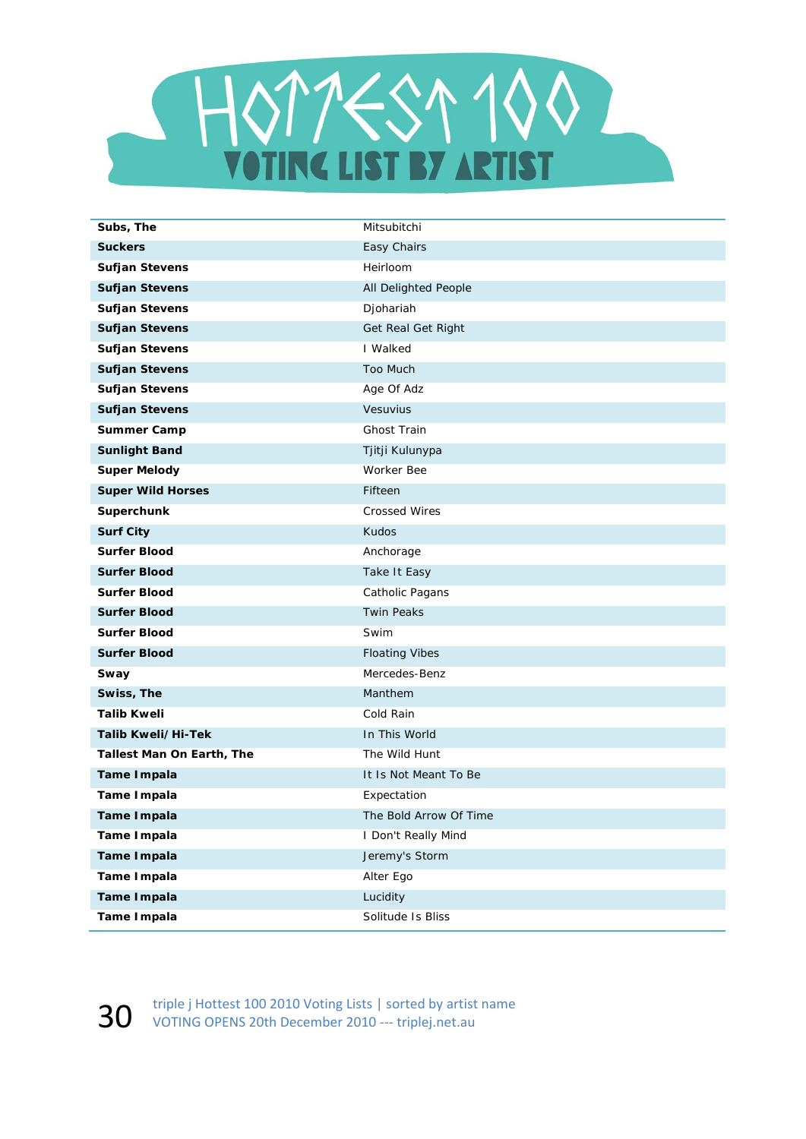

| Subs, The                 | Mitsubitchi            |
|---------------------------|------------------------|
| <b>Suckers</b>            | Easy Chairs            |
| <b>Sufjan Stevens</b>     | Heirloom               |
| <b>Sufjan Stevens</b>     | All Delighted People   |
| <b>Sufjan Stevens</b>     | Djohariah              |
| <b>Sufjan Stevens</b>     | Get Real Get Right     |
| <b>Sufjan Stevens</b>     | I Walked               |
| <b>Sufjan Stevens</b>     | Too Much               |
| <b>Sufjan Stevens</b>     | Age Of Adz             |
| <b>Sufjan Stevens</b>     | Vesuvius               |
| <b>Summer Camp</b>        | Ghost Train            |
| <b>Sunlight Band</b>      | Tjitji Kulunypa        |
| <b>Super Melody</b>       | Worker Bee             |
| <b>Super Wild Horses</b>  | Fifteen                |
| Superchunk                | <b>Crossed Wires</b>   |
| <b>Surf City</b>          | Kudos                  |
| <b>Surfer Blood</b>       | Anchorage              |
| <b>Surfer Blood</b>       | Take It Easy           |
| <b>Surfer Blood</b>       | Catholic Pagans        |
| <b>Surfer Blood</b>       | <b>Twin Peaks</b>      |
| <b>Surfer Blood</b>       | Swim                   |
| <b>Surfer Blood</b>       | <b>Floating Vibes</b>  |
| Sway                      | Mercedes-Benz          |
| Swiss, The                | Manthem                |
| <b>Talib Kweli</b>        | Cold Rain              |
| Talib Kweli/Hi-Tek        | In This World          |
| Tallest Man On Earth, The | The Wild Hunt          |
| <b>Tame Impala</b>        | It Is Not Meant To Be  |
| Tame Impala               | Expectation            |
| <b>Tame Impala</b>        | The Bold Arrow Of Time |
| <b>Tame Impala</b>        | I Don't Really Mind    |
| <b>Tame Impala</b>        | Jeremy's Storm         |
| Tame Impala               | Alter Ego              |
| <b>Tame Impala</b>        | Lucidity               |
| <b>Tame Impala</b>        | Solitude Is Bliss      |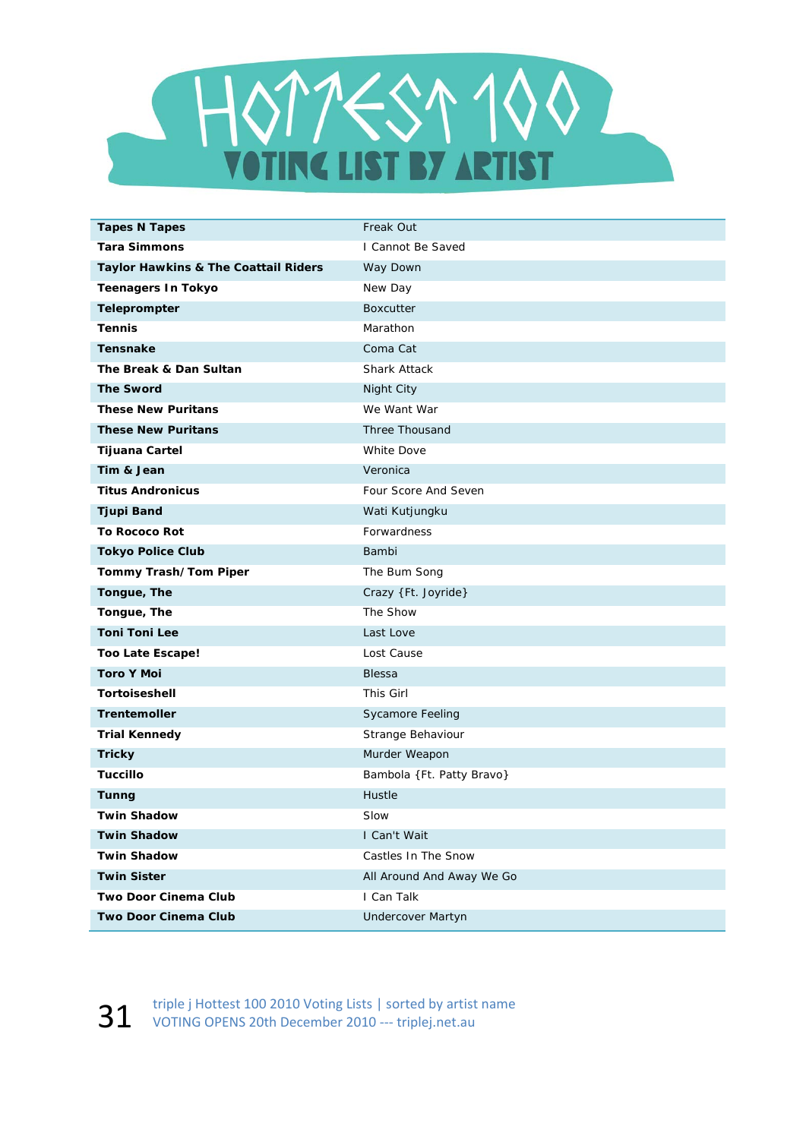

| <b>Tapes N Tapes</b>                 | Freak Out                 |
|--------------------------------------|---------------------------|
| <b>Tara Simmons</b>                  | I Cannot Be Saved         |
| Taylor Hawkins & The Coattail Riders | Way Down                  |
| <b>Teenagers In Tokyo</b>            | New Day                   |
| Teleprompter                         | <b>Boxcutter</b>          |
| <b>Tennis</b>                        | Marathon                  |
| <b>Tensnake</b>                      | Coma Cat                  |
| The Break & Dan Sultan               | <b>Shark Attack</b>       |
| <b>The Sword</b>                     | Night City                |
| <b>These New Puritans</b>            | We Want War               |
| <b>These New Puritans</b>            | Three Thousand            |
| <b>Tijuana Cartel</b>                | <b>White Dove</b>         |
| Tim & Jean                           | Veronica                  |
| <b>Titus Andronicus</b>              | Four Score And Seven      |
| <b>Tjupi Band</b>                    | Wati Kutjungku            |
| <b>To Rococo Rot</b>                 | Forwardness               |
| <b>Tokyo Police Club</b>             | Bambi                     |
| Tommy Trash/Tom Piper                | The Bum Song              |
| Tongue, The                          | Crazy {Ft. Joyride}       |
| Tongue, The                          | The Show                  |
| <b>Toni Toni Lee</b>                 | Last Love                 |
| Too Late Escape!                     | Lost Cause                |
| <b>Toro Y Moi</b>                    | <b>Blessa</b>             |
| <b>Tortoiseshell</b>                 | This Girl                 |
| <b>Trentemoller</b>                  | Sycamore Feeling          |
| <b>Trial Kennedy</b>                 | Strange Behaviour         |
| <b>Tricky</b>                        | Murder Weapon             |
| <b>Tuccillo</b>                      | Bambola {Ft. Patty Bravo} |
| <b>Tunng</b>                         | Hustle                    |
| <b>Twin Shadow</b>                   | Slow                      |
| <b>Twin Shadow</b>                   | I Can't Wait              |
| <b>Twin Shadow</b>                   | Castles In The Snow       |
| <b>Twin Sister</b>                   | All Around And Away We Go |
| Two Door Cinema Club                 | I Can Talk                |
| <b>Two Door Cinema Club</b>          | <b>Undercover Martyn</b>  |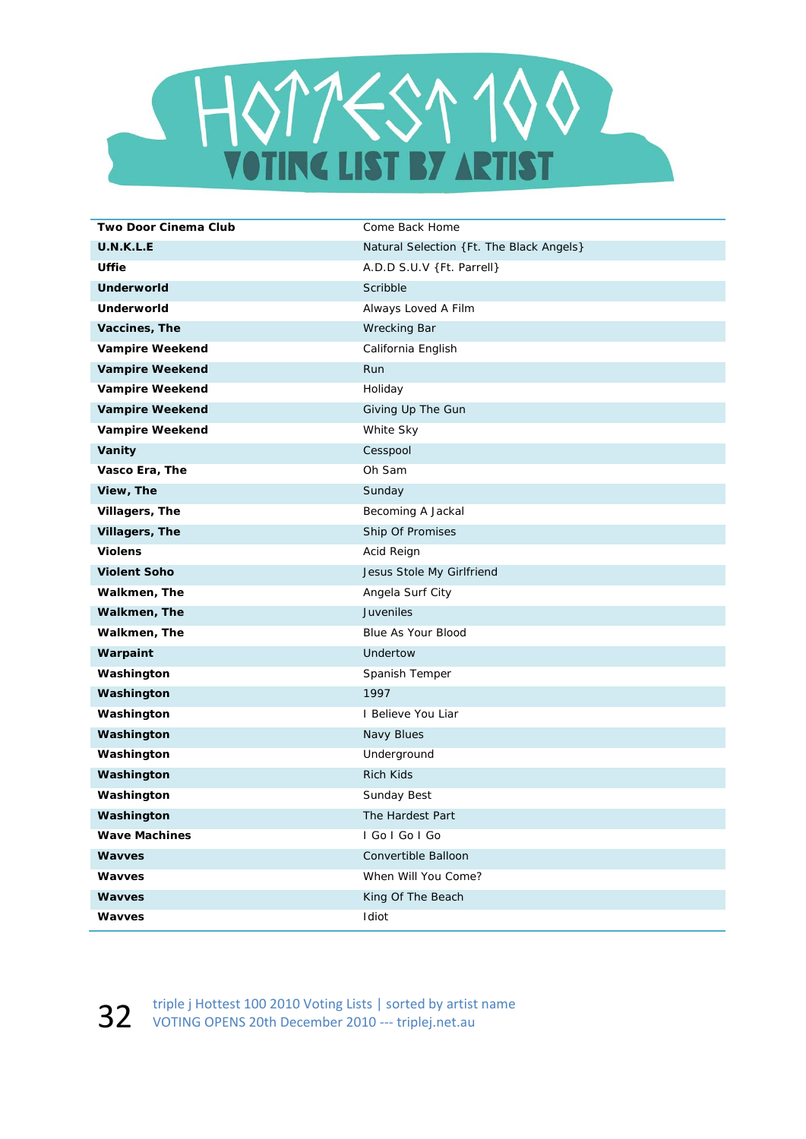

| Two Door Cinema Club   | Come Back Home                           |
|------------------------|------------------------------------------|
| U.N.K.L.E              | Natural Selection {Ft. The Black Angels} |
| Uffie                  | A.D.D S.U.V {Ft. Parrell}                |
| <b>Underworld</b>      | Scribble                                 |
| Underworld             | Always Loved A Film                      |
| Vaccines, The          | <b>Wrecking Bar</b>                      |
| <b>Vampire Weekend</b> | California English                       |
| <b>Vampire Weekend</b> | Run                                      |
| <b>Vampire Weekend</b> | Holiday                                  |
| <b>Vampire Weekend</b> | Giving Up The Gun                        |
| <b>Vampire Weekend</b> | White Sky                                |
| Vanity                 | Cesspool                                 |
| Vasco Era, The         | Oh Sam                                   |
| View, The              | Sunday                                   |
| Villagers, The         | Becoming A Jackal                        |
| Villagers, The         | Ship Of Promises                         |
| <b>Violens</b>         | Acid Reign                               |
| <b>Violent Soho</b>    | Jesus Stole My Girlfriend                |
| Walkmen, The           | Angela Surf City                         |
| Walkmen, The           | <b>Juveniles</b>                         |
| Walkmen, The           | Blue As Your Blood                       |
| Warpaint               | Undertow                                 |
| Washington             | Spanish Temper                           |
| Washington             | 1997                                     |
| Washington             | I Believe You Liar                       |
| Washington             | Navy Blues                               |
| Washington             | Underground                              |
| Washington             | <b>Rich Kids</b>                         |
| Washington             | Sunday Best                              |
| Washington             | The Hardest Part                         |
| <b>Wave Machines</b>   | I Go I Go I Go                           |
| Wavves                 | Convertible Balloon                      |
| Wavves                 | When Will You Come?                      |
| <b>Wavves</b>          | King Of The Beach                        |
| Wavves                 | Idiot                                    |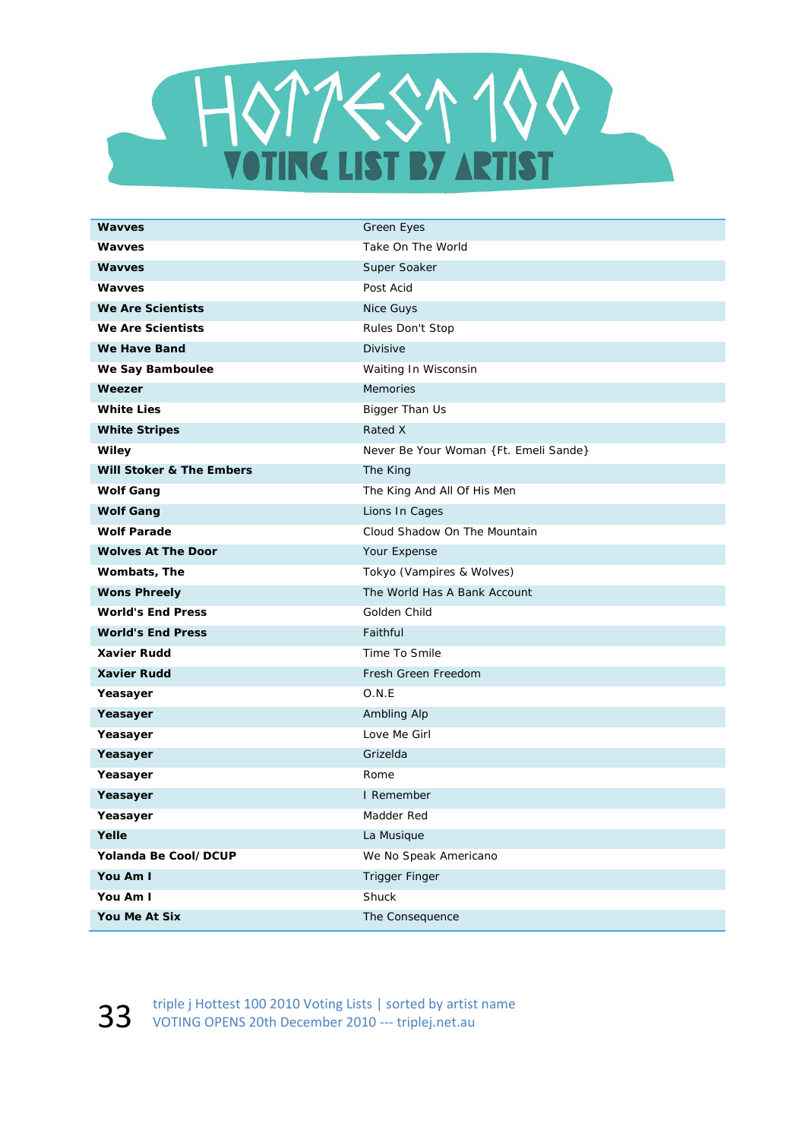

| <b>Wavves</b>                       | <b>Green Eyes</b>                     |
|-------------------------------------|---------------------------------------|
| <b>Wavves</b>                       | Take On The World                     |
| <b>Wavves</b>                       | Super Soaker                          |
| <b>Wavves</b>                       | Post Acid                             |
| <b>We Are Scientists</b>            | Nice Guys                             |
| <b>We Are Scientists</b>            | Rules Don't Stop                      |
| We Have Band                        | Divisive                              |
| We Say Bamboulee                    | Waiting In Wisconsin                  |
| Weezer                              | <b>Memories</b>                       |
| <b>White Lies</b>                   | Bigger Than Us                        |
| <b>White Stripes</b>                | Rated X                               |
| Wiley                               | Never Be Your Woman {Ft. Emeli Sande} |
| <b>Will Stoker &amp; The Embers</b> | The King                              |
| <b>Wolf Gang</b>                    | The King And All Of His Men           |
| <b>Wolf Gang</b>                    | Lions In Cages                        |
| <b>Wolf Parade</b>                  | Cloud Shadow On The Mountain          |
| <b>Wolves At The Door</b>           | Your Expense                          |
| Wombats, The                        | Tokyo (Vampires & Wolves)             |
| <b>Wons Phreely</b>                 | The World Has A Bank Account          |
| <b>World's End Press</b>            | Golden Child                          |
| <b>World's End Press</b>            | Faithful                              |
| <b>Xavier Rudd</b>                  | Time To Smile                         |
| <b>Xavier Rudd</b>                  | Fresh Green Freedom                   |
| Yeasayer                            | O.N.E                                 |
| Yeasayer                            | Ambling Alp                           |
| Yeasayer                            | Love Me Girl                          |
| Yeasayer                            | Grizelda                              |
| Yeasayer                            | Rome                                  |
| Yeasayer                            | I Remember                            |
| Yeasayer                            | Madder Red                            |
| Yelle                               | La Musique                            |
| Yolanda Be Cool/DCUP                | We No Speak Americano                 |
| You Am I                            | <b>Trigger Finger</b>                 |
| You Am I                            | Shuck                                 |
| You Me At Six                       | The Consequence                       |